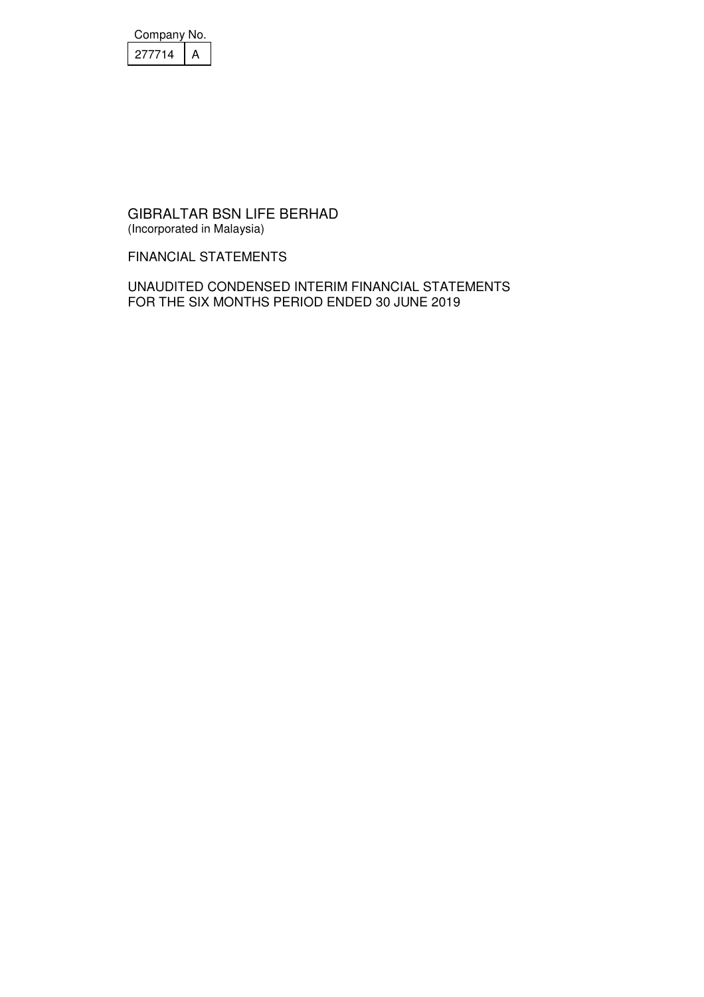| Company No. |  |
|-------------|--|
| 277714      |  |

FINANCIAL STATEMENTS

UNAUDITED CONDENSED INTERIM FINANCIAL STATEMENTS FOR THE SIX MONTHS PERIOD ENDED 30 JUNE 2019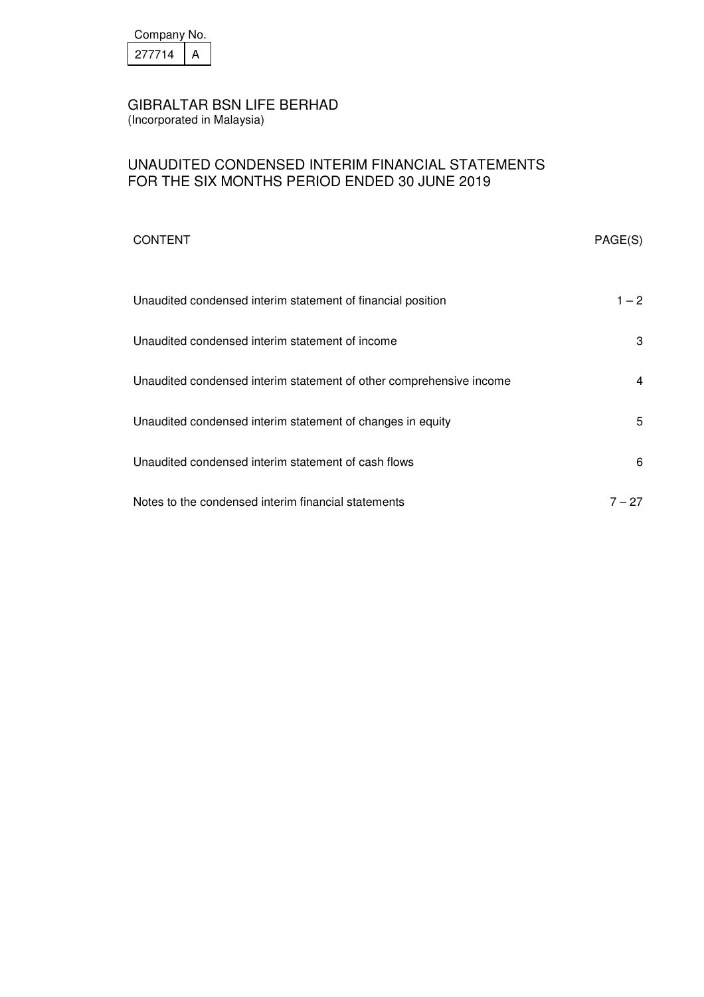

# UNAUDITED CONDENSED INTERIM FINANCIAL STATEMENTS FOR THE SIX MONTHS PERIOD ENDED 30 JUNE 2019

| <b>CONTENT</b>                                                      | PAGE(S) |
|---------------------------------------------------------------------|---------|
| Unaudited condensed interim statement of financial position         | $1 - 2$ |
| Unaudited condensed interim statement of income                     | 3       |
| Unaudited condensed interim statement of other comprehensive income | 4       |
| Unaudited condensed interim statement of changes in equity          | 5       |
| Unaudited condensed interim statement of cash flows                 | 6       |
| Notes to the condensed interim financial statements                 | 7 – 27  |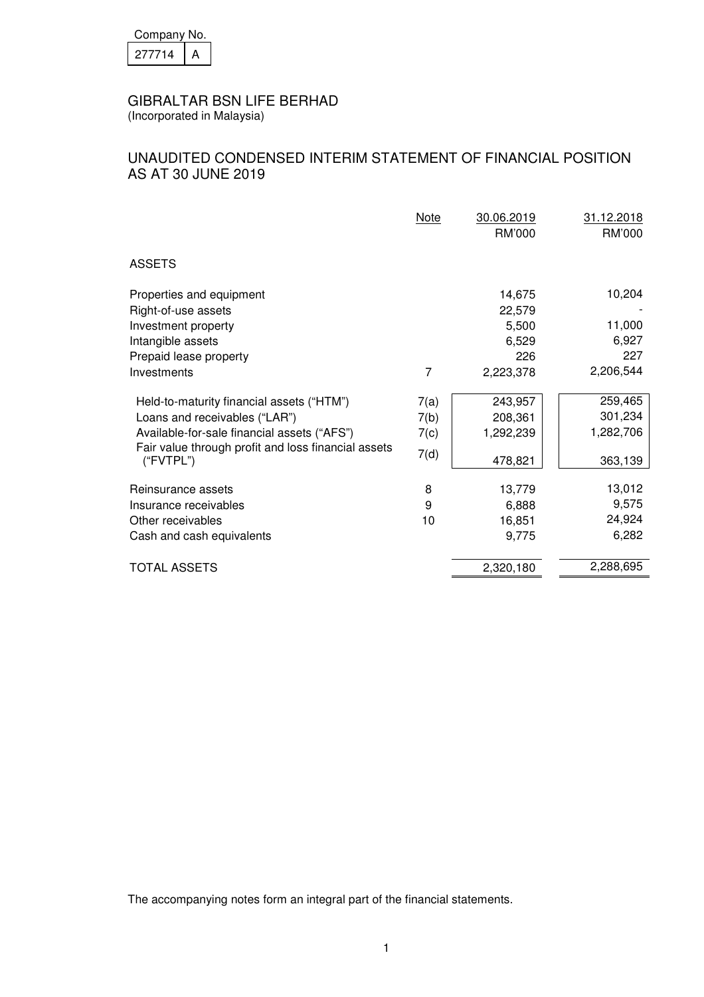| Company No. |  |  |
|-------------|--|--|
| 27714       |  |  |

(Incorporated in Malaysia)

# UNAUDITED CONDENSED INTERIM STATEMENT OF FINANCIAL POSITION AS AT 30 JUNE 2019

|                                                                                                                                                                                               | Note                         | 30.06.2019<br>RM'000                       | 31.12.2018<br>RM'000                       |
|-----------------------------------------------------------------------------------------------------------------------------------------------------------------------------------------------|------------------------------|--------------------------------------------|--------------------------------------------|
| <b>ASSETS</b>                                                                                                                                                                                 |                              |                                            |                                            |
| Properties and equipment<br>Right-of-use assets<br>Investment property<br>Intangible assets<br>Prepaid lease property                                                                         |                              | 14,675<br>22,579<br>5,500<br>6,529<br>226  | 10,204<br>11,000<br>6,927<br>227           |
| Investments                                                                                                                                                                                   | 7                            | 2,223,378                                  | 2,206,544                                  |
| Held-to-maturity financial assets ("HTM")<br>Loans and receivables ("LAR")<br>Available-for-sale financial assets ("AFS")<br>Fair value through profit and loss financial assets<br>("FVTPL") | 7(a)<br>7(b)<br>7(c)<br>7(d) | 243,957<br>208,361<br>1,292,239<br>478,821 | 259,465<br>301,234<br>1,282,706<br>363,139 |
| Reinsurance assets<br>Insurance receivables<br>Other receivables<br>Cash and cash equivalents                                                                                                 | 8<br>9<br>10                 | 13,779<br>6,888<br>16,851<br>9,775         | 13,012<br>9,575<br>24,924<br>6,282         |
| <b>TOTAL ASSETS</b>                                                                                                                                                                           |                              | 2,320,180                                  | 2,288,695                                  |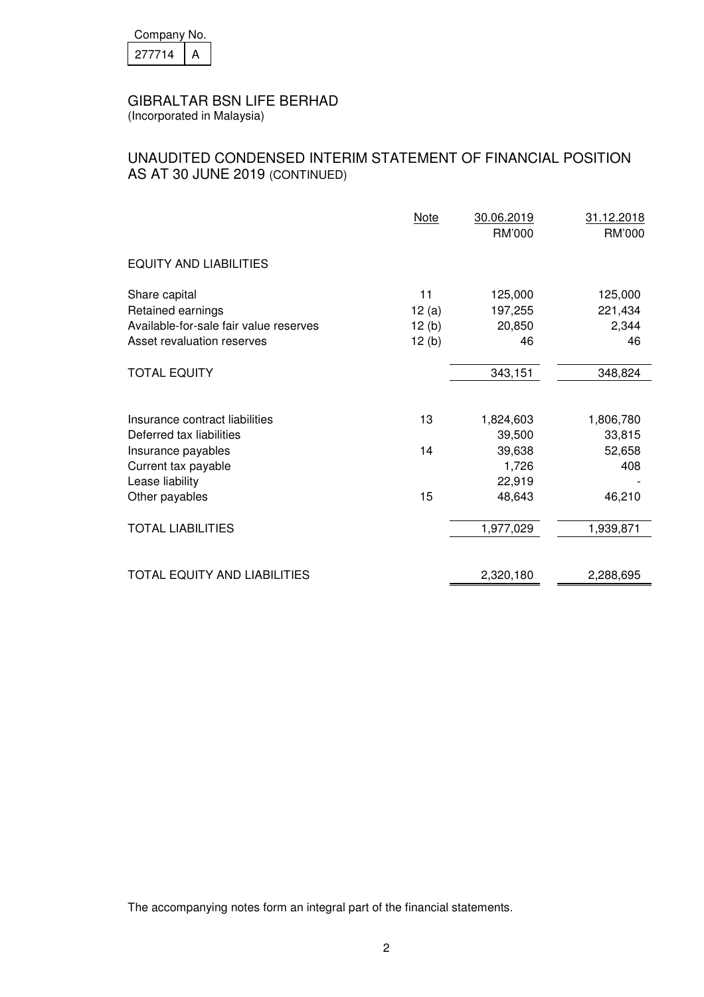| Company No. |  |  |
|-------------|--|--|
| 27714       |  |  |

(Incorporated in Malaysia)

# UNAUDITED CONDENSED INTERIM STATEMENT OF FINANCIAL POSITION AS AT 30 JUNE 2019 (CONTINUED)

|                                                                      | Note           | 30.06.2019<br><b>RM'000</b> | 31.12.2018<br>RM'000 |
|----------------------------------------------------------------------|----------------|-----------------------------|----------------------|
| <b>EQUITY AND LIABILITIES</b>                                        |                |                             |                      |
| Share capital<br>Retained earnings                                   | 11<br>12(a)    | 125,000<br>197,255          | 125,000<br>221,434   |
| Available-for-sale fair value reserves<br>Asset revaluation reserves | 12(b)<br>12(b) | 20,850<br>46                | 2,344<br>46          |
| <b>TOTAL EQUITY</b>                                                  |                | 343,151                     | 348,824              |
| Insurance contract liabilities<br>Deferred tax liabilities           | 13             | 1,824,603<br>39,500         | 1,806,780<br>33,815  |
| Insurance payables<br>Current tax payable<br>Lease liability         | 14             | 39,638<br>1,726<br>22,919   | 52,658<br>408        |
| Other payables                                                       | 15             | 48,643                      | 46,210               |
| <b>TOTAL LIABILITIES</b>                                             |                | 1,977,029                   | 1,939,871            |
| TOTAL EQUITY AND LIABILITIES                                         |                | 2,320,180                   | 2,288,695            |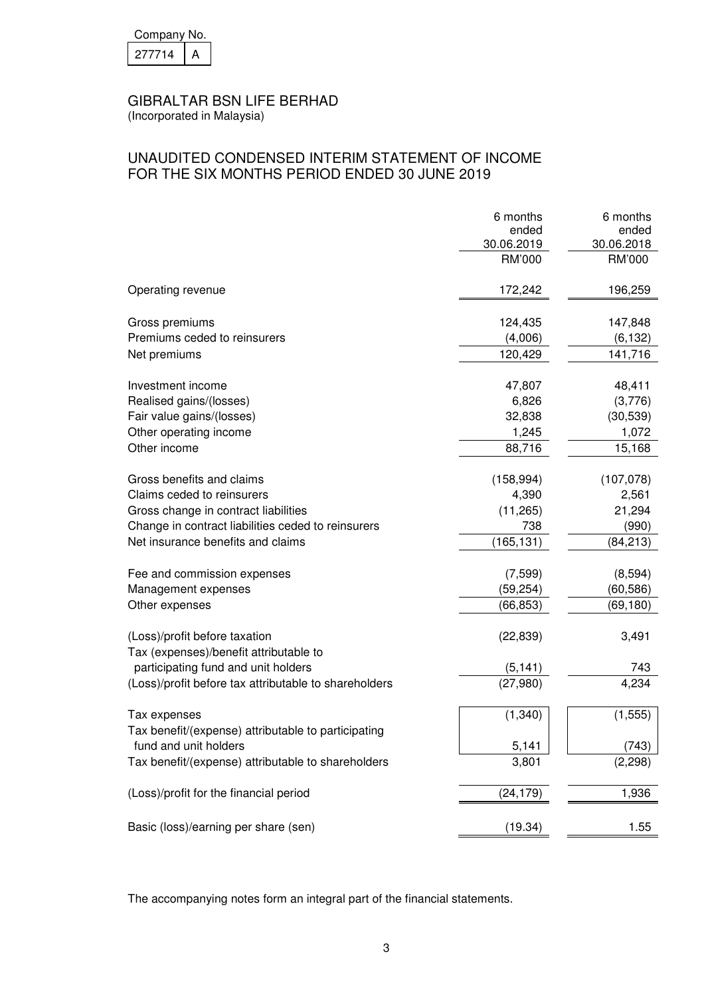| Company No. |  |  |  |
|-------------|--|--|--|
| 27714       |  |  |  |

(Incorporated in Malaysia)

# UNAUDITED CONDENSED INTERIM STATEMENT OF INCOME FOR THE SIX MONTHS PERIOD ENDED 30 JUNE 2019

|                                                       | 6 months   | 6 months   |
|-------------------------------------------------------|------------|------------|
|                                                       | ended      | ended      |
|                                                       | 30.06.2019 | 30.06.2018 |
|                                                       | RM'000     | RM'000     |
| Operating revenue                                     | 172,242    | 196,259    |
| Gross premiums                                        | 124,435    | 147,848    |
| Premiums ceded to reinsurers                          | (4,006)    | (6, 132)   |
| Net premiums                                          | 120,429    | 141,716    |
| Investment income                                     | 47,807     | 48,411     |
| Realised gains/(losses)                               | 6,826      | (3,776)    |
| Fair value gains/(losses)                             | 32,838     | (30, 539)  |
| Other operating income                                | 1,245      | 1,072      |
| Other income                                          | 88,716     | 15,168     |
| Gross benefits and claims                             | (158, 994) | (107, 078) |
| Claims ceded to reinsurers                            | 4,390      | 2,561      |
| Gross change in contract liabilities                  | (11, 265)  | 21,294     |
| Change in contract liabilities ceded to reinsurers    | 738        | (990)      |
| Net insurance benefits and claims                     | (165, 131) | (84, 213)  |
|                                                       |            |            |
| Fee and commission expenses                           | (7, 599)   | (8,594)    |
| Management expenses                                   | (59, 254)  | (60, 586)  |
| Other expenses                                        | (66, 853)  | (69, 180)  |
| (Loss)/profit before taxation                         | (22, 839)  | 3,491      |
| Tax (expenses)/benefit attributable to                |            |            |
| participating fund and unit holders                   | (5, 141)   | 743        |
| (Loss)/profit before tax attributable to shareholders | (27, 980)  | 4,234      |
| Tax expenses                                          | (1, 340)   | (1, 555)   |
| Tax benefit/(expense) attributable to participating   |            |            |
| fund and unit holders                                 | 5,141      | (743)      |
| Tax benefit/(expense) attributable to shareholders    | 3,801      | (2, 298)   |
| (Loss)/profit for the financial period                | (24,179)   | 1,936      |
|                                                       |            |            |
| Basic (loss)/earning per share (sen)                  | (19.34)    | 1.55       |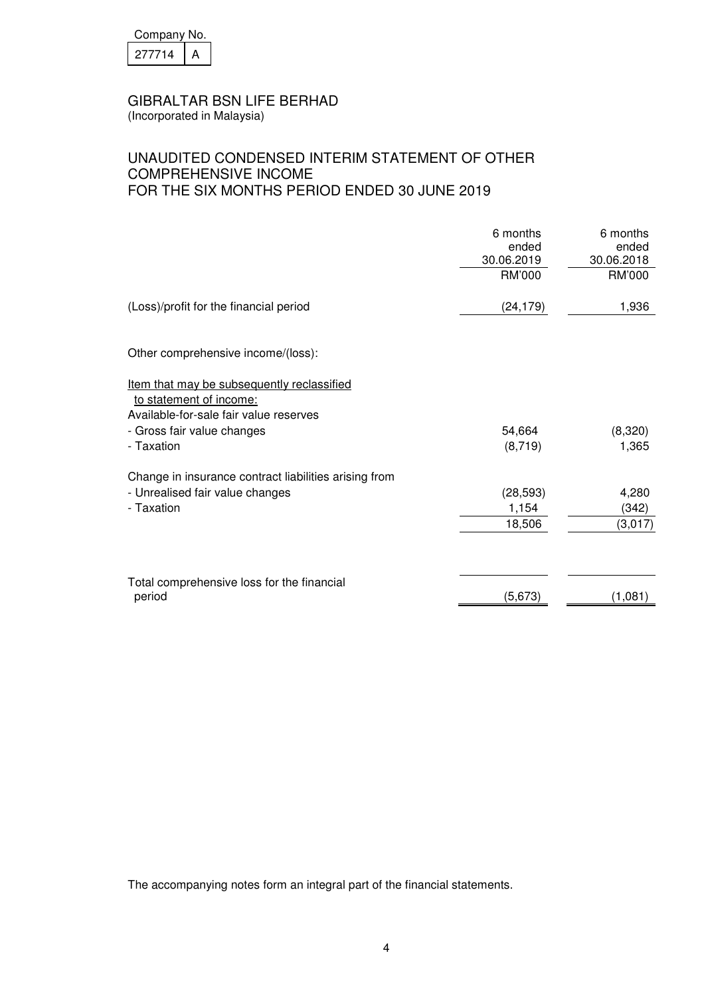| Company No. |  |  |
|-------------|--|--|
| 27714       |  |  |

(Incorporated in Malaysia)

# UNAUDITED CONDENSED INTERIM STATEMENT OF OTHER COMPREHENSIVE INCOME FOR THE SIX MONTHS PERIOD ENDED 30 JUNE 2019

|                                                                                                                                                             | 6 months<br>ended<br>30.06.2019 | 6 months<br>ended<br>30.06.2018 |
|-------------------------------------------------------------------------------------------------------------------------------------------------------------|---------------------------------|---------------------------------|
|                                                                                                                                                             | RM'000                          | RM'000                          |
| (Loss)/profit for the financial period                                                                                                                      | (24, 179)                       | 1,936                           |
| Other comprehensive income/(loss):                                                                                                                          |                                 |                                 |
| Item that may be subsequently reclassified<br>to statement of income:<br>Available-for-sale fair value reserves<br>- Gross fair value changes<br>- Taxation | 54,664<br>(8, 719)              | (8,320)<br>1,365                |
| Change in insurance contract liabilities arising from<br>- Unrealised fair value changes<br>- Taxation                                                      | (28, 593)<br>1,154<br>18,506    | 4,280<br>(342)<br>(3,017)       |
| Total comprehensive loss for the financial<br>period                                                                                                        | (5,673)                         | (1,081)                         |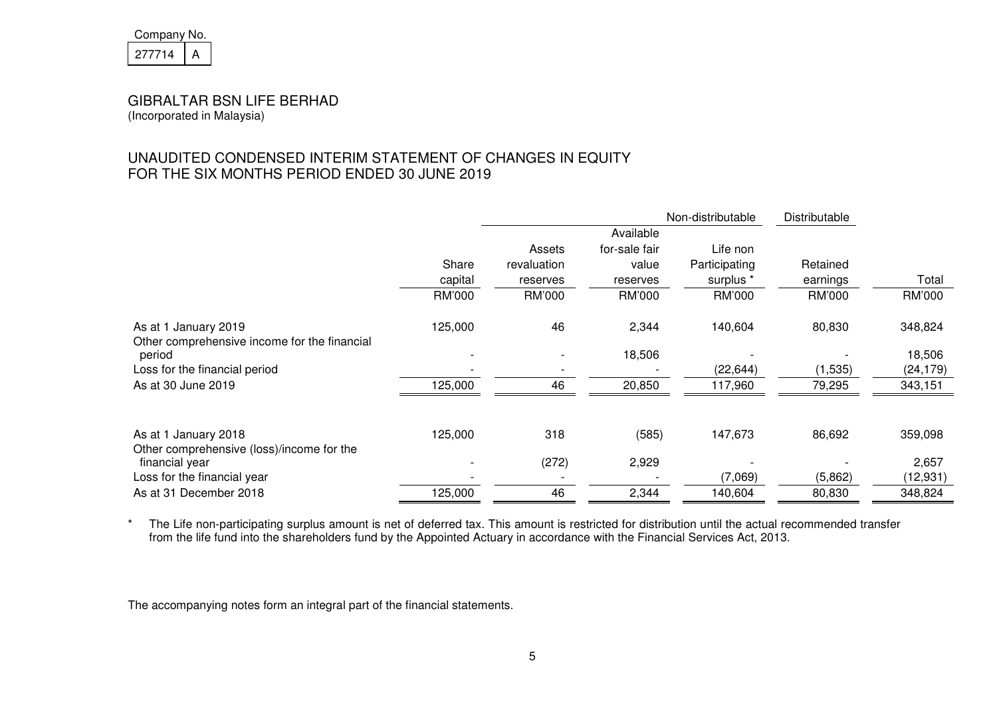| Company No. |  |  |
|-------------|--|--|
| 27714       |  |  |

# UNAUDITED CONDENSED INTERIM STATEMENT OF CHANGES IN EQUITY FOR THE SIX MONTHS PERIOD ENDED 30 JUNE 2019

|                                                                      |         | Non-distributable |               |               | Distributable |           |
|----------------------------------------------------------------------|---------|-------------------|---------------|---------------|---------------|-----------|
|                                                                      |         |                   | Available     |               |               |           |
|                                                                      |         | Assets            | for-sale fair | Life non      |               |           |
|                                                                      | Share   | revaluation       | value         | Participating | Retained      |           |
|                                                                      | capital | reserves          | reserves      | surplus *     | earnings      | Total     |
|                                                                      | RM'000  | RM'000            | RM'000        | RM'000        | RM'000        | RM'000    |
| As at 1 January 2019<br>Other comprehensive income for the financial | 125,000 | 46                | 2,344         | 140,604       | 80,830        | 348,824   |
| period                                                               |         |                   | 18,506        |               |               | 18,506    |
| Loss for the financial period                                        |         |                   |               | (22, 644)     | (1,535)       | (24, 179) |
| As at 30 June 2019                                                   | 125,000 | 46                | 20,850        | 117,960       | 79,295        | 343,151   |
|                                                                      |         |                   |               |               |               |           |
| As at 1 January 2018                                                 | 125,000 | 318               | (585)         | 147,673       | 86,692        | 359,098   |
| Other comprehensive (loss)/income for the                            |         |                   |               |               |               |           |
| financial year                                                       |         | (272)             | 2,929         |               |               | 2,657     |
| Loss for the financial year                                          |         |                   |               | (7,069)       | (5,862)       | (12, 931) |
| As at 31 December 2018                                               | 125,000 | 46                | 2,344         | 140,604       | 80,830        | 348,824   |

\* The Life non-participating surplus amount is net of deferred tax. This amount is restricted for distribution until the actual recommended transfer from the life fund into the shareholders fund by the Appointed Actuary in accordance with the Financial Services Act, 2013.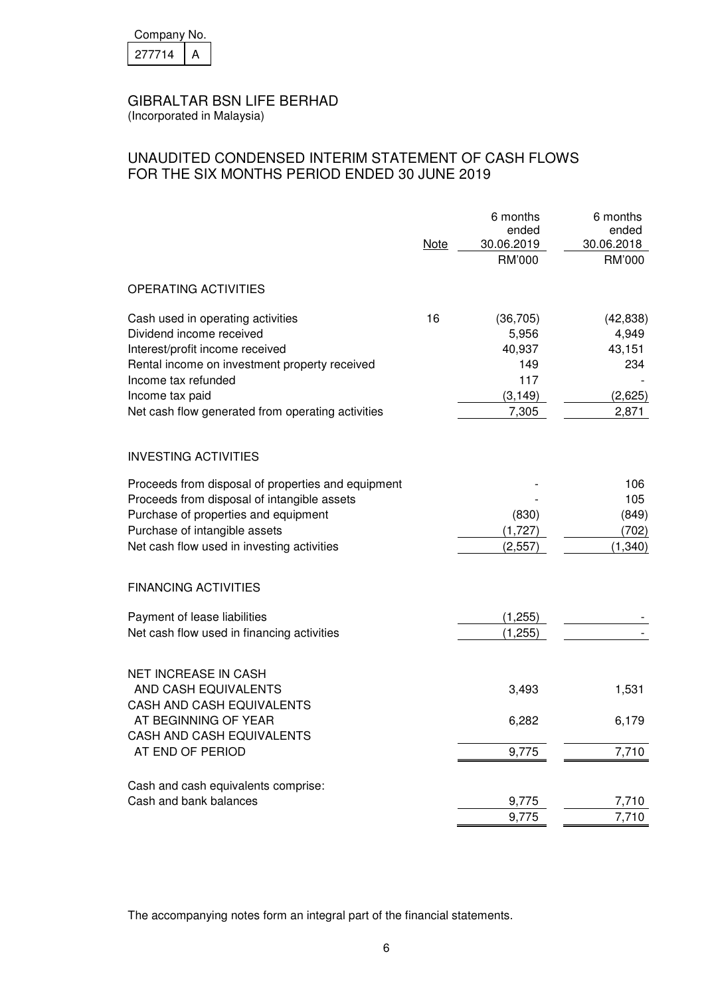| Company No. |  |  |
|-------------|--|--|
| 277714      |  |  |

(Incorporated in Malaysia)

# UNAUDITED CONDENSED INTERIM STATEMENT OF CASH FLOWS FOR THE SIX MONTHS PERIOD ENDED 30 JUNE 2019

|                                                                                                                                                                                                                                                  | <b>Note</b> | 6 months<br>ended<br>30.06.2019<br>RM'000                       | 6 months<br>ended<br>30.06.2018<br>RM'000               |
|--------------------------------------------------------------------------------------------------------------------------------------------------------------------------------------------------------------------------------------------------|-------------|-----------------------------------------------------------------|---------------------------------------------------------|
| OPERATING ACTIVITIES                                                                                                                                                                                                                             |             |                                                                 |                                                         |
| Cash used in operating activities<br>Dividend income received<br>Interest/profit income received<br>Rental income on investment property received<br>Income tax refunded<br>Income tax paid<br>Net cash flow generated from operating activities | 16          | (36, 705)<br>5,956<br>40,937<br>149<br>117<br>(3, 149)<br>7,305 | (42, 838)<br>4,949<br>43,151<br>234<br>(2,625)<br>2,871 |
| <b>INVESTING ACTIVITIES</b>                                                                                                                                                                                                                      |             |                                                                 |                                                         |
| Proceeds from disposal of properties and equipment<br>Proceeds from disposal of intangible assets<br>Purchase of properties and equipment<br>Purchase of intangible assets<br>Net cash flow used in investing activities                         |             | (830)<br>(1,727)<br>(2, 557)                                    | 106<br>105<br>(849)<br>(702)<br>(1, 340)                |
| <b>FINANCING ACTIVITIES</b>                                                                                                                                                                                                                      |             |                                                                 |                                                         |
| Payment of lease liabilities<br>Net cash flow used in financing activities                                                                                                                                                                       |             | (1, 255)<br>(1,255)                                             |                                                         |
| <b>NET INCREASE IN CASH</b><br>AND CASH EQUIVALENTS<br>CASH AND CASH EQUIVALENTS                                                                                                                                                                 |             | 3,493                                                           | 1,531                                                   |
| AT BEGINNING OF YEAR<br>CASH AND CASH EQUIVALENTS                                                                                                                                                                                                |             | 6,282                                                           | 6,179                                                   |
| AT END OF PERIOD                                                                                                                                                                                                                                 |             | 9,775                                                           | 7,710                                                   |
| Cash and cash equivalents comprise:<br>Cash and bank balances                                                                                                                                                                                    |             | 9,775                                                           | 7,710                                                   |
|                                                                                                                                                                                                                                                  |             | 9,775                                                           | 7,710                                                   |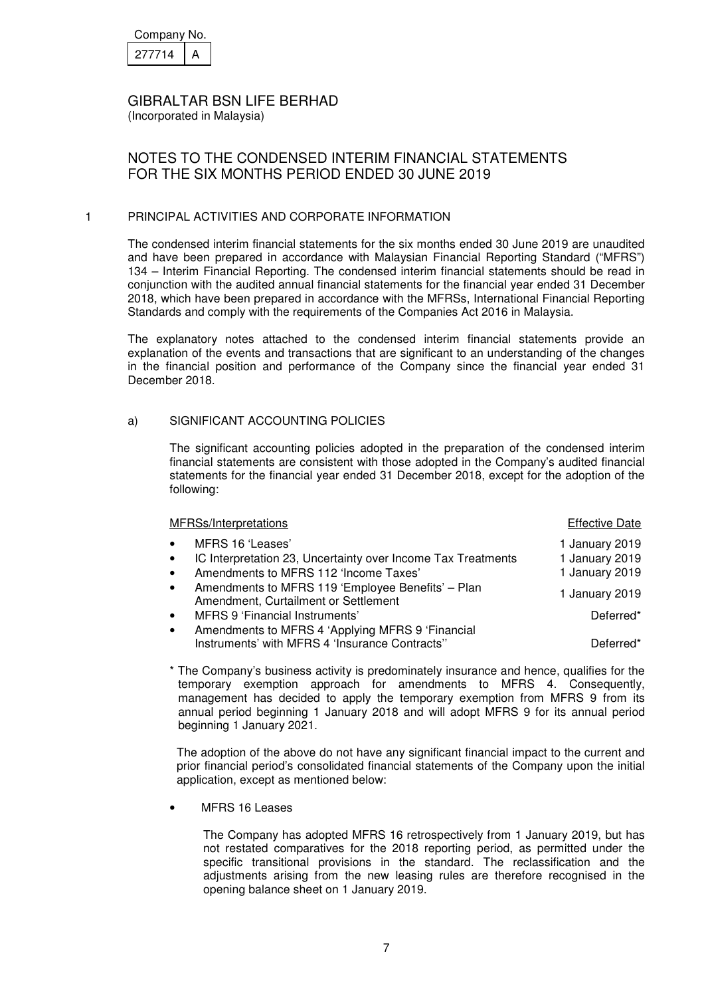| Company No. |  |  |
|-------------|--|--|
| 277714      |  |  |

(Incorporated in Malaysia)

# NOTES TO THE CONDENSED INTERIM FINANCIAL STATEMENTS FOR THE SIX MONTHS PERIOD ENDED 30 JUNE 2019

### 1 PRINCIPAL ACTIVITIES AND CORPORATE INFORMATION

The condensed interim financial statements for the six months ended 30 June 2019 are unaudited and have been prepared in accordance with Malaysian Financial Reporting Standard ("MFRS") 134 – Interim Financial Reporting. The condensed interim financial statements should be read in conjunction with the audited annual financial statements for the financial year ended 31 December 2018, which have been prepared in accordance with the MFRSs, International Financial Reporting Standards and comply with the requirements of the Companies Act 2016 in Malaysia.

The explanatory notes attached to the condensed interim financial statements provide an explanation of the events and transactions that are significant to an understanding of the changes in the financial position and performance of the Company since the financial year ended 31 December 2018.

### a) SIGNIFICANT ACCOUNTING POLICIES

The significant accounting policies adopted in the preparation of the condensed interim financial statements are consistent with those adopted in the Company's audited financial statements for the financial year ended 31 December 2018, except for the adoption of the following:

| MFRSs/Interpretations                                                                                                                                            | <b>Effective Date</b>                              |
|------------------------------------------------------------------------------------------------------------------------------------------------------------------|----------------------------------------------------|
| MFRS 16 'Leases'<br>$\bullet$<br>IC Interpretation 23, Uncertainty over Income Tax Treatments<br>$\bullet$<br>Amendments to MFRS 112 'Income Taxes'<br>$\bullet$ | 1 January 2019<br>1 January 2019<br>1 January 2019 |
| Amendments to MFRS 119 'Employee Benefits' - Plan<br>$\bullet$<br>Amendment, Curtailment or Settlement                                                           | 1 January 2019                                     |
| MFRS 9 'Financial Instruments'<br>$\bullet$                                                                                                                      | Deferred*                                          |
| Amendments to MFRS 4 'Applying MFRS 9 'Financial<br>$\bullet$<br>Instruments' with MFRS 4 'Insurance Contracts"                                                  | Deferred*                                          |

\* The Company's business activity is predominately insurance and hence, qualifies for the temporary exemption approach for amendments to MFRS 4. Consequently, management has decided to apply the temporary exemption from MFRS 9 from its annual period beginning 1 January 2018 and will adopt MFRS 9 for its annual period beginning 1 January 2021.

The adoption of the above do not have any significant financial impact to the current and prior financial period's consolidated financial statements of the Company upon the initial application, except as mentioned below:

MFRS 16 Leases

The Company has adopted MFRS 16 retrospectively from 1 January 2019, but has not restated comparatives for the 2018 reporting period, as permitted under the specific transitional provisions in the standard. The reclassification and the adjustments arising from the new leasing rules are therefore recognised in the opening balance sheet on 1 January 2019.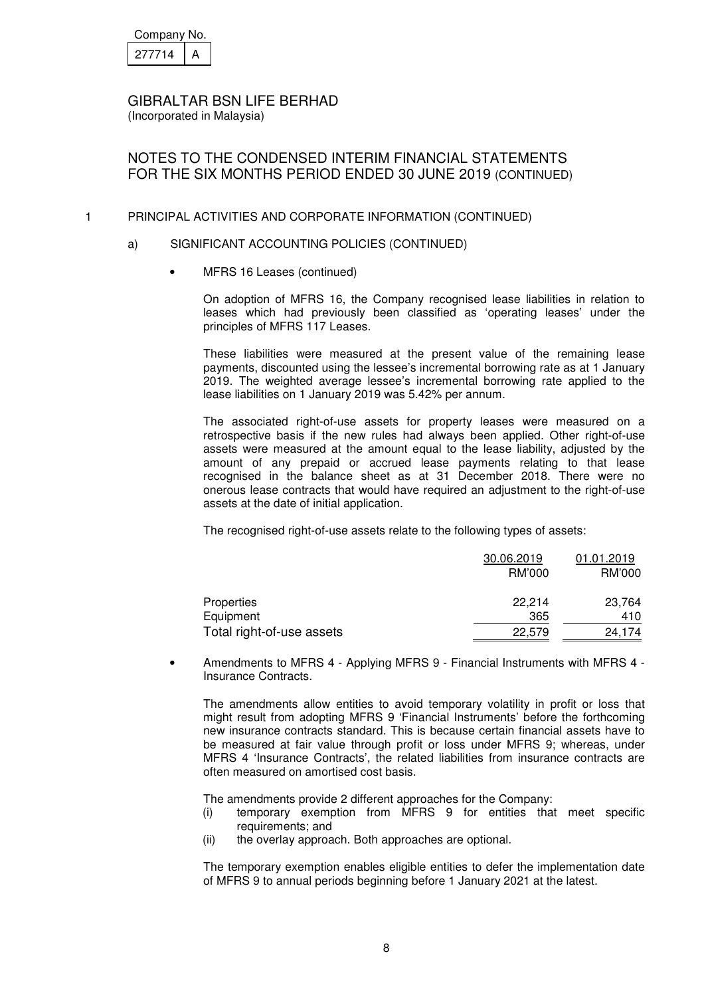| Company No. |  |
|-------------|--|
| 277714      |  |

# NOTES TO THE CONDENSED INTERIM FINANCIAL STATEMENTS FOR THE SIX MONTHS PERIOD ENDED 30 JUNE 2019 (CONTINUED)

#### 1 PRINCIPAL ACTIVITIES AND CORPORATE INFORMATION (CONTINUED)

#### a) SIGNIFICANT ACCOUNTING POLICIES (CONTINUED)

• MFRS 16 Leases (continued)

On adoption of MFRS 16, the Company recognised lease liabilities in relation to leases which had previously been classified as 'operating leases' under the principles of MFRS 117 Leases.

These liabilities were measured at the present value of the remaining lease payments, discounted using the lessee's incremental borrowing rate as at 1 January 2019. The weighted average lessee's incremental borrowing rate applied to the lease liabilities on 1 January 2019 was 5.42% per annum.

The associated right-of-use assets for property leases were measured on a retrospective basis if the new rules had always been applied. Other right-of-use assets were measured at the amount equal to the lease liability, adjusted by the amount of any prepaid or accrued lease payments relating to that lease recognised in the balance sheet as at 31 December 2018. There were no onerous lease contracts that would have required an adjustment to the right-of-use assets at the date of initial application.

The recognised right-of-use assets relate to the following types of assets:

|                           | 30.06.2019 |        |
|---------------------------|------------|--------|
|                           | RM'000     | RM'000 |
| Properties                | 22.214     | 23,764 |
| Equipment                 | 365        | 410    |
| Total right-of-use assets | 22,579     | 24.174 |

• Amendments to MFRS 4 - Applying MFRS 9 - Financial Instruments with MFRS 4 - Insurance Contracts.

The amendments allow entities to avoid temporary volatility in profit or loss that might result from adopting MFRS 9 'Financial Instruments' before the forthcoming new insurance contracts standard. This is because certain financial assets have to be measured at fair value through profit or loss under MFRS 9; whereas, under MFRS 4 'Insurance Contracts', the related liabilities from insurance contracts are often measured on amortised cost basis.

The amendments provide 2 different approaches for the Company:

- (i) temporary exemption from MFRS 9 for entities that meet specific requirements; and
- (ii) the overlay approach. Both approaches are optional.

The temporary exemption enables eligible entities to defer the implementation date of MFRS 9 to annual periods beginning before 1 January 2021 at the latest.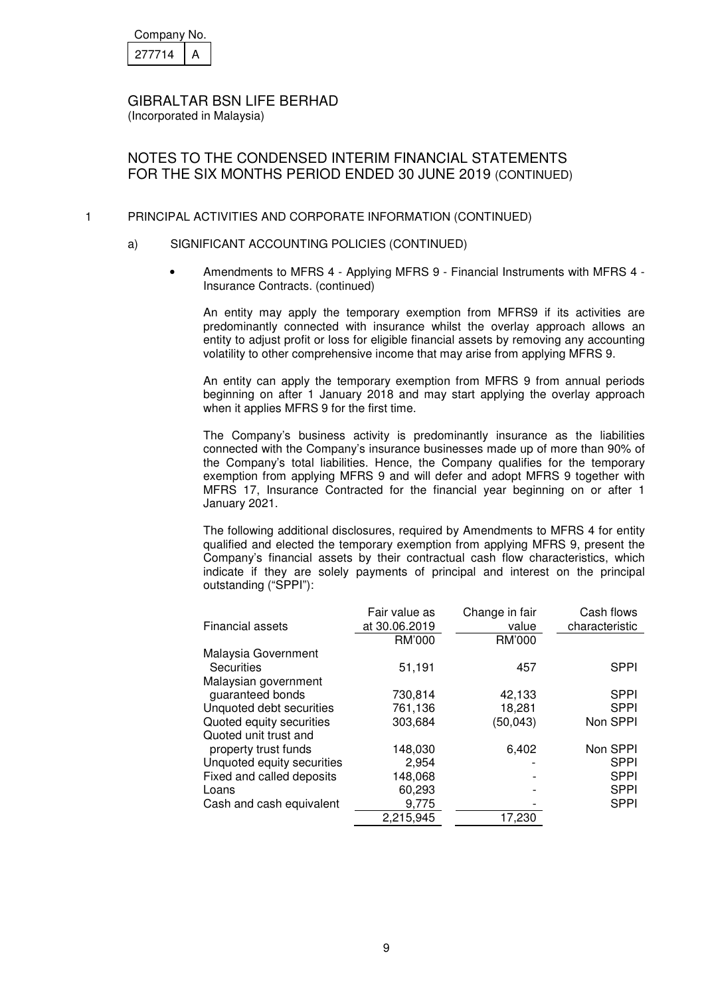| Company No. |  |  |
|-------------|--|--|
| 277714      |  |  |

NOTES TO THE CONDENSED INTERIM FINANCIAL STATEMENTS FOR THE SIX MONTHS PERIOD ENDED 30 JUNE 2019 (CONTINUED)

#### 1 PRINCIPAL ACTIVITIES AND CORPORATE INFORMATION (CONTINUED)

- a) SIGNIFICANT ACCOUNTING POLICIES (CONTINUED)
	- Amendments to MFRS 4 Applying MFRS 9 Financial Instruments with MFRS 4 Insurance Contracts. (continued)

An entity may apply the temporary exemption from MFRS9 if its activities are predominantly connected with insurance whilst the overlay approach allows an entity to adjust profit or loss for eligible financial assets by removing any accounting volatility to other comprehensive income that may arise from applying MFRS 9.

An entity can apply the temporary exemption from MFRS 9 from annual periods beginning on after 1 January 2018 and may start applying the overlay approach when it applies MFRS 9 for the first time.

The Company's business activity is predominantly insurance as the liabilities connected with the Company's insurance businesses made up of more than 90% of the Company's total liabilities. Hence, the Company qualifies for the temporary exemption from applying MFRS 9 and will defer and adopt MFRS 9 together with MFRS 17, Insurance Contracted for the financial year beginning on or after 1 January 2021.

The following additional disclosures, required by Amendments to MFRS 4 for entity qualified and elected the temporary exemption from applying MFRS 9, present the Company's financial assets by their contractual cash flow characteristics, which indicate if they are solely payments of principal and interest on the principal outstanding ("SPPI"):

| <b>Financial assets</b>    | Fair value as<br>at 30.06.2019 | Change in fair<br>value | Cash flows<br>characteristic |
|----------------------------|--------------------------------|-------------------------|------------------------------|
|                            | <b>RM'000</b>                  | <b>RM'000</b>           |                              |
| Malaysia Government        |                                |                         |                              |
| Securities                 | 51,191                         | 457                     | <b>SPPI</b>                  |
| Malaysian government       |                                |                         |                              |
| guaranteed bonds           | 730,814                        | 42,133                  | <b>SPPI</b>                  |
| Unquoted debt securities   | 761,136                        | 18,281                  | <b>SPPI</b>                  |
| Quoted equity securities   | 303,684                        | (50, 043)               | Non SPPI                     |
| Quoted unit trust and      |                                |                         |                              |
| property trust funds       | 148,030                        | 6,402                   | Non SPPI                     |
| Unquoted equity securities | 2,954                          |                         | <b>SPPI</b>                  |
| Fixed and called deposits  | 148,068                        |                         | <b>SPPI</b>                  |
| Loans                      | 60,293                         |                         | <b>SPPI</b>                  |
| Cash and cash equivalent   | 9,775                          |                         | <b>SPPI</b>                  |
|                            | 2,215,945                      | 17,230                  |                              |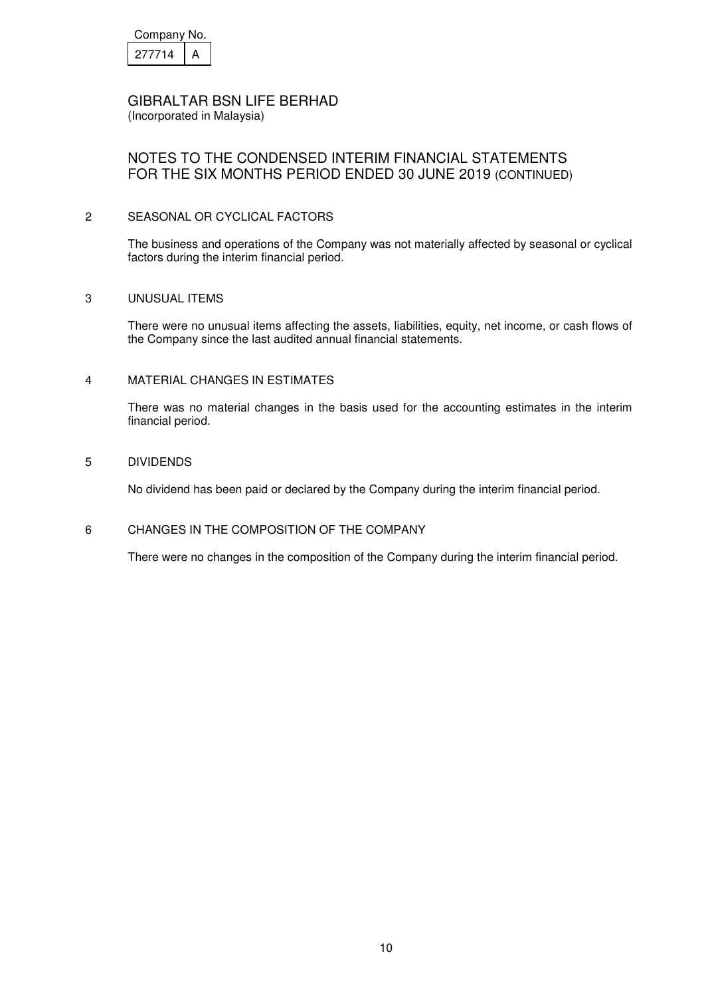| Company No. |  |  |
|-------------|--|--|
| 277714      |  |  |

(Incorporated in Malaysia)

# NOTES TO THE CONDENSED INTERIM FINANCIAL STATEMENTS FOR THE SIX MONTHS PERIOD ENDED 30 JUNE 2019 (CONTINUED)

### 2 SEASONAL OR CYCLICAL FACTORS

 The business and operations of the Company was not materially affected by seasonal or cyclical factors during the interim financial period.

### 3 UNUSUAL ITEMS

 There were no unusual items affecting the assets, liabilities, equity, net income, or cash flows of the Company since the last audited annual financial statements.

### 4 MATERIAL CHANGES IN ESTIMATES

 There was no material changes in the basis used for the accounting estimates in the interim financial period.

### 5 DIVIDENDS

No dividend has been paid or declared by the Company during the interim financial period.

### 6 CHANGES IN THE COMPOSITION OF THE COMPANY

There were no changes in the composition of the Company during the interim financial period.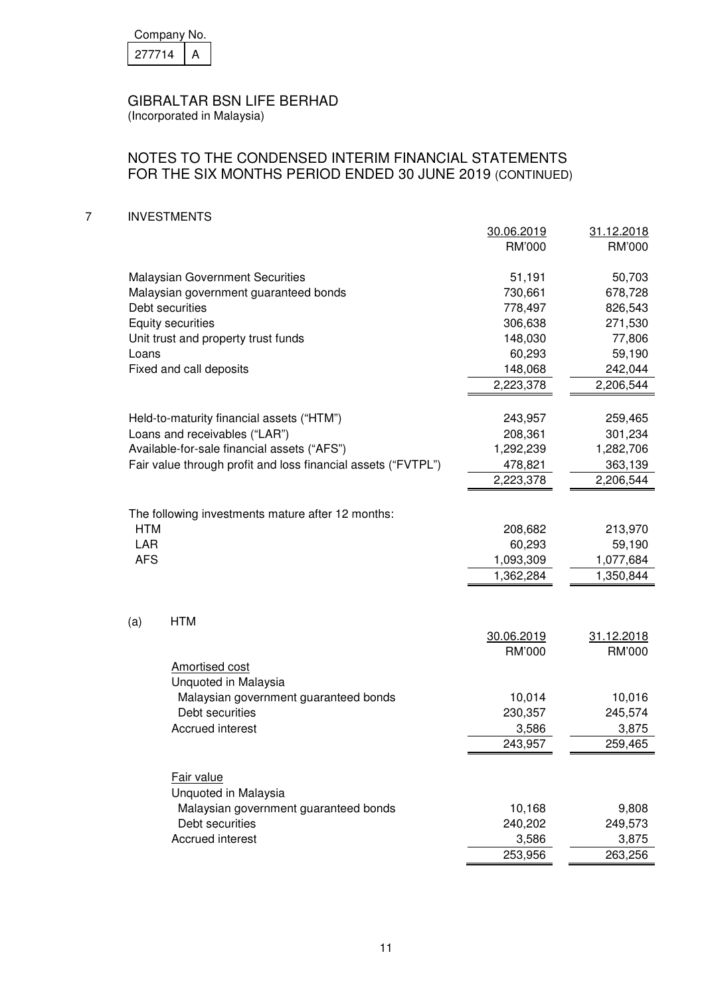| Company No. |  |  |
|-------------|--|--|
| 277714      |  |  |

(Incorporated in Malaysia)

## NOTES TO THE CONDENSED INTERIM FINANCIAL STATEMENTS FOR THE SIX MONTHS PERIOD ENDED 30 JUNE 2019 (CONTINUED)

7 INVESTMENTS

|                                                               | 30.06.2019<br>RM'000 | 31.12.2018<br>RM'000 |
|---------------------------------------------------------------|----------------------|----------------------|
| <b>Malaysian Government Securities</b>                        | 51,191               | 50,703               |
| Malaysian government guaranteed bonds                         | 730,661              | 678,728              |
| Debt securities                                               | 778,497              | 826,543              |
| <b>Equity securities</b>                                      | 306,638              | 271,530              |
| Unit trust and property trust funds                           | 148,030              | 77,806               |
| Loans                                                         | 60,293               | 59,190               |
| Fixed and call deposits                                       | 148,068              | 242,044              |
|                                                               | 2,223,378            | 2,206,544            |
|                                                               |                      |                      |
| Held-to-maturity financial assets ("HTM")                     | 243,957              | 259,465              |
| Loans and receivables ("LAR")                                 | 208,361              | 301,234              |
| Available-for-sale financial assets ("AFS")                   | 1,292,239            | 1,282,706            |
| Fair value through profit and loss financial assets ("FVTPL") | 478,821              | 363,139              |
|                                                               | 2,223,378            | 2,206,544            |
| The following investments mature after 12 months:             |                      |                      |
| <b>HTM</b>                                                    | 208,682              | 213,970              |
| <b>LAR</b>                                                    | 60,293               | 59,190               |
| <b>AFS</b>                                                    | 1,093,309            | 1,077,684            |
|                                                               | 1,362,284            | 1,350,844            |
|                                                               |                      |                      |
| <b>HTM</b><br>(a)                                             |                      |                      |
|                                                               | 30.06.2019           | 31.12.2018           |
|                                                               | RM'000               | RM'000               |
| <b>Amortised cost</b><br>Unquoted in Malaysia                 |                      |                      |
| Malaysian government guaranteed bonds                         | 10,014               | 10,016               |
| Debt securities                                               | 230,357              | 245,574              |
| <b>Accrued interest</b>                                       | 3,586                | 3,875                |
|                                                               | 243,957              | 259,465              |
|                                                               |                      |                      |
| Fair value<br>Unquoted in Malaysia                            |                      |                      |
| Malaysian government guaranteed bonds                         | 10,168               | 9,808                |
| Debt securities                                               | 240,202              | 249,573              |
| <b>Accrued interest</b>                                       | 3,586                | 3,875                |
|                                                               | 253,956              | 263,256              |
|                                                               |                      |                      |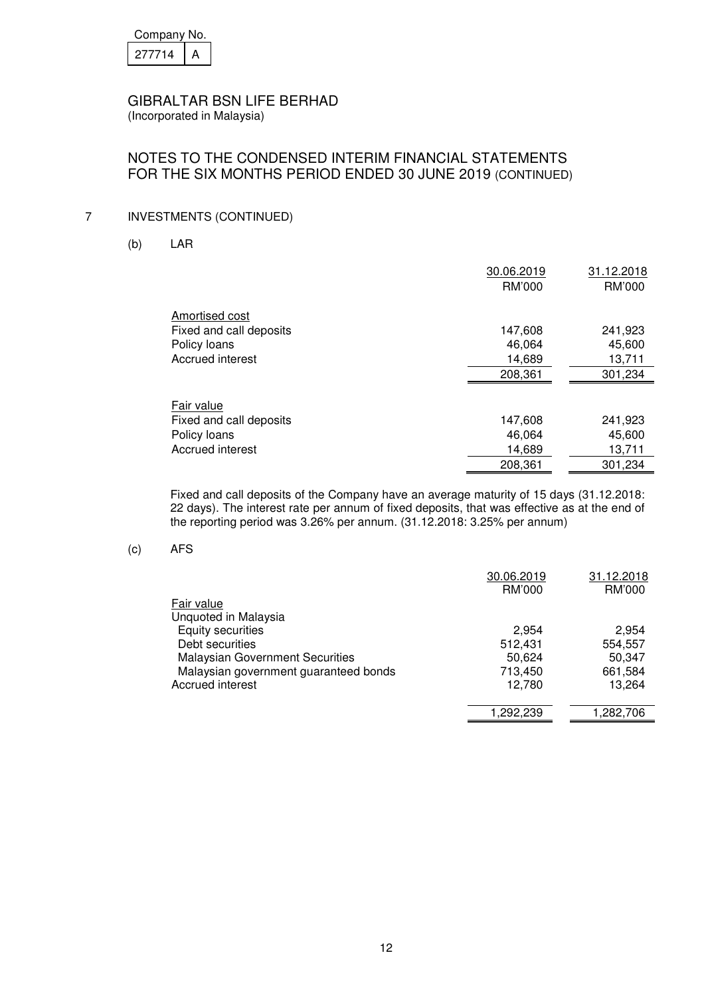| Company No. |  |  |
|-------------|--|--|
| 277714      |  |  |

(Incorporated in Malaysia)

## NOTES TO THE CONDENSED INTERIM FINANCIAL STATEMENTS FOR THE SIX MONTHS PERIOD ENDED 30 JUNE 2019 (CONTINUED)

### 7 INVESTMENTS (CONTINUED)

(b) LAR

|                         | 30.06.2019 | 31.12.2018 |
|-------------------------|------------|------------|
|                         | RM'000     | RM'000     |
| Amortised cost          |            |            |
| Fixed and call deposits | 147,608    | 241,923    |
| Policy loans            | 46,064     | 45,600     |
| Accrued interest        | 14,689     | 13,711     |
|                         | 208,361    | 301,234    |
|                         |            |            |
| Fair value              |            |            |
| Fixed and call deposits | 147,608    | 241,923    |
| Policy loans            | 46,064     | 45,600     |
| Accrued interest        | 14,689     | 13,711     |
|                         | 208,361    | 301,234    |
|                         |            |            |

 Fixed and call deposits of the Company have an average maturity of 15 days (31.12.2018: 22 days). The interest rate per annum of fixed deposits, that was effective as at the end of the reporting period was 3.26% per annum. (31.12.2018: 3.25% per annum)

(c) AFS

|                                        | 30.06.2019 | 31.12.2018 |
|----------------------------------------|------------|------------|
|                                        | RM'000     | RM'000     |
| Fair value                             |            |            |
| Unquoted in Malaysia                   |            |            |
| <b>Equity securities</b>               | 2.954      | 2.954      |
| Debt securities                        | 512,431    | 554,557    |
| <b>Malaysian Government Securities</b> | 50.624     | 50,347     |
| Malaysian government guaranteed bonds  | 713,450    | 661,584    |
| Accrued interest                       | 12.780     | 13.264     |
|                                        |            |            |
|                                        | 1.292.239  | 1,282,706  |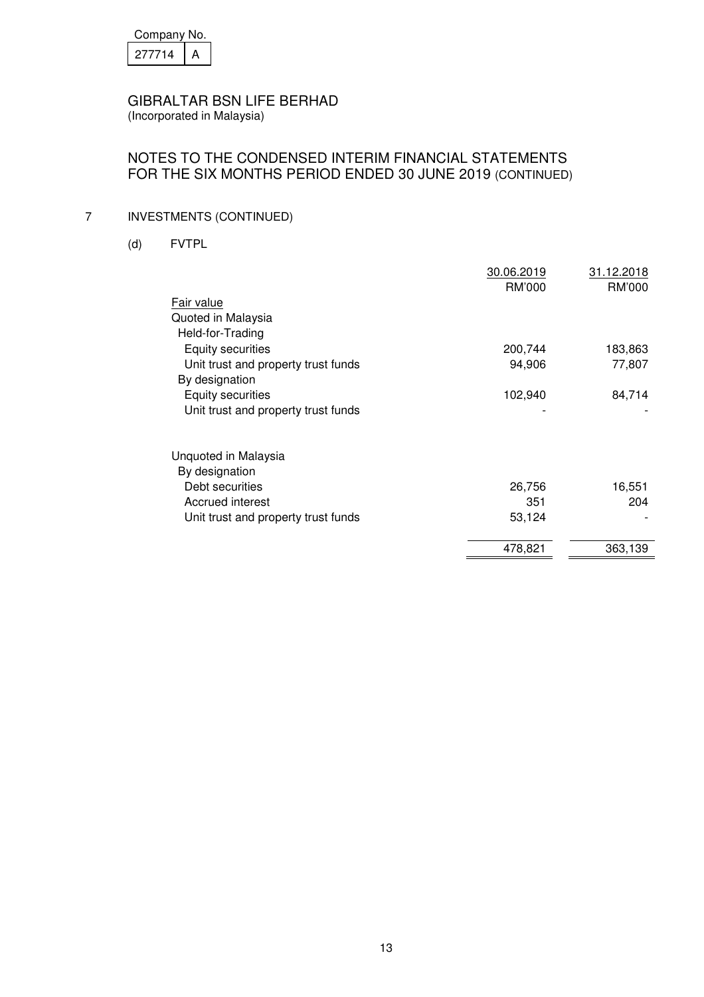| Company No. |  |  |
|-------------|--|--|
| 277714      |  |  |

(Incorporated in Malaysia)

# NOTES TO THE CONDENSED INTERIM FINANCIAL STATEMENTS FOR THE SIX MONTHS PERIOD ENDED 30 JUNE 2019 (CONTINUED)

# 7 INVESTMENTS (CONTINUED)

(d) FVTPL

|                                     | 30.06.2019<br>RM'000 | 31.12.2018<br>RM'000 |
|-------------------------------------|----------------------|----------------------|
| Fair value                          |                      |                      |
| Quoted in Malaysia                  |                      |                      |
| Held-for-Trading                    |                      |                      |
| <b>Equity securities</b>            | 200,744              | 183,863              |
| Unit trust and property trust funds | 94,906               | 77,807               |
| By designation                      |                      |                      |
| Equity securities                   | 102,940              | 84,714               |
| Unit trust and property trust funds |                      |                      |
| Unquoted in Malaysia                |                      |                      |
| By designation                      |                      |                      |
| Debt securities                     | 26,756               | 16,551               |
| Accrued interest                    | 351                  | 204                  |
| Unit trust and property trust funds | 53,124               |                      |
|                                     | 478,821              | 363,139              |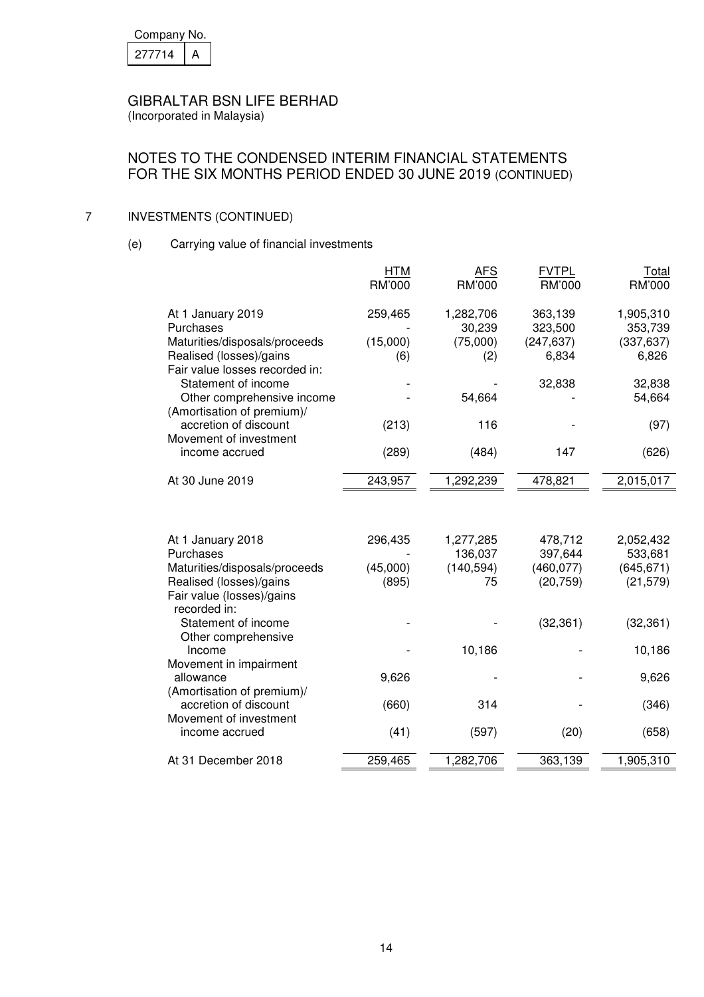| Company No. |  |  |
|-------------|--|--|
| 277714      |  |  |

(Incorporated in Malaysia)

# NOTES TO THE CONDENSED INTERIM FINANCIAL STATEMENTS FOR THE SIX MONTHS PERIOD ENDED 30 JUNE 2019 (CONTINUED)

# 7 INVESTMENTS (CONTINUED)

(e) Carrying value of financial investments

|                                                                                            | <b>HTM</b><br><b>RM'000</b> | <b>AFS</b><br>RM'000 | <b>FVTPL</b><br><b>RM'000</b> | Total<br>RM'000      |
|--------------------------------------------------------------------------------------------|-----------------------------|----------------------|-------------------------------|----------------------|
| At 1 January 2019<br>Purchases                                                             | 259,465                     | 1,282,706<br>30,239  | 363,139<br>323,500            | 1,905,310<br>353,739 |
| Maturities/disposals/proceeds<br>Realised (losses)/gains<br>Fair value losses recorded in: | (15,000)<br>(6)             | (75,000)<br>(2)      | (247, 637)<br>6,834           | (337, 637)<br>6,826  |
| Statement of income<br>Other comprehensive income<br>(Amortisation of premium)/            |                             | 54,664               | 32,838                        | 32,838<br>54,664     |
| accretion of discount<br>Movement of investment                                            | (213)                       | 116                  |                               | (97)                 |
| income accrued                                                                             | (289)                       | (484)                | 147                           | (626)                |
| At 30 June 2019                                                                            | 243,957                     | 1,292,239            | 478,821                       | 2,015,017            |
|                                                                                            |                             |                      |                               |                      |
| At 1 January 2018<br>Purchases                                                             | 296,435                     | 1,277,285<br>136,037 | 478,712<br>397,644            | 2,052,432<br>533,681 |
| Maturities/disposals/proceeds                                                              | (45,000)                    | (140, 594)           | (460, 077)                    | (645, 671)           |
| Realised (losses)/gains<br>Fair value (losses)/gains<br>recorded in:                       | (895)                       | 75                   | (20, 759)                     | (21, 579)            |
| Statement of income<br>Other comprehensive                                                 |                             |                      | (32, 361)                     | (32, 361)            |
| Income<br>Movement in impairment                                                           |                             | 10,186               |                               | 10,186               |
| allowance<br>(Amortisation of premium)/                                                    | 9,626                       |                      |                               | 9,626                |
| accretion of discount<br>Movement of investment                                            | (660)                       | 314                  |                               | (346)                |
| income accrued                                                                             | (41)                        | (597)                | (20)                          | (658)                |
| At 31 December 2018                                                                        | 259,465                     | 1,282,706            | 363,139                       | 1,905,310            |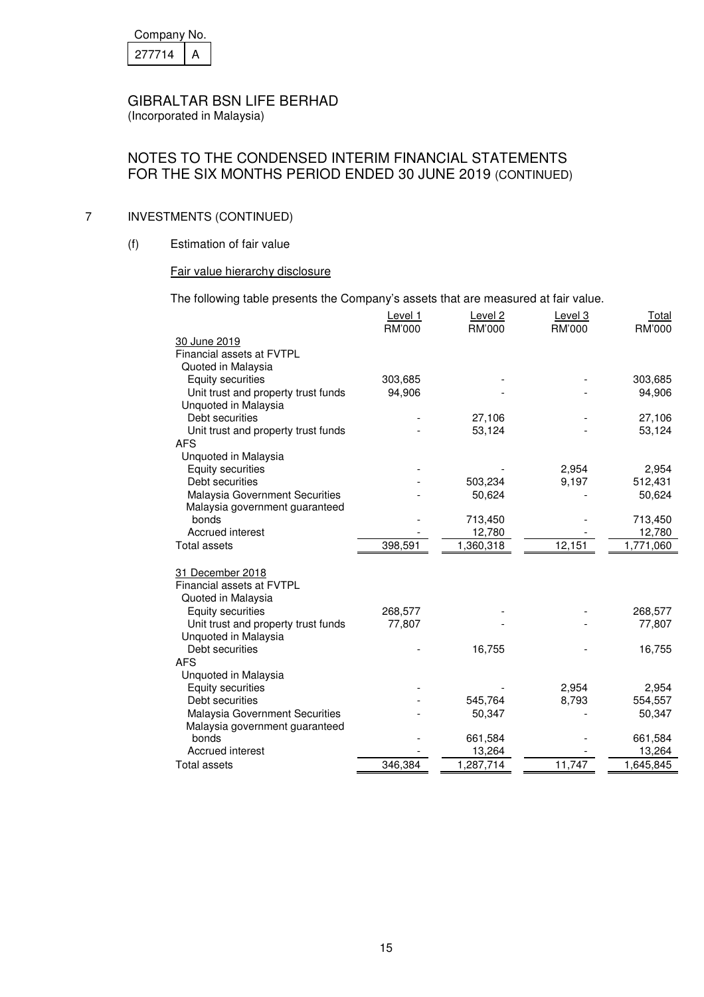| Company No. |  |  |
|-------------|--|--|
| 277714      |  |  |

(Incorporated in Malaysia)

## NOTES TO THE CONDENSED INTERIM FINANCIAL STATEMENTS FOR THE SIX MONTHS PERIOD ENDED 30 JUNE 2019 (CONTINUED)

### 7 INVESTMENTS (CONTINUED)

(f) Estimation of fair value

### Fair value hierarchy disclosure

The following table presents the Company's assets that are measured at fair value.

|                                                   | Level 1<br>RM'000 | Level <sub>2</sub><br><b>RM'000</b> | Level 3<br>RM'000 | <b>Total</b><br>RM'000 |
|---------------------------------------------------|-------------------|-------------------------------------|-------------------|------------------------|
| 30 June 2019                                      |                   |                                     |                   |                        |
| Financial assets at FVTPL                         |                   |                                     |                   |                        |
| Quoted in Malaysia                                |                   |                                     |                   |                        |
| <b>Equity securities</b>                          | 303,685           |                                     |                   | 303,685                |
| Unit trust and property trust funds               | 94,906            |                                     |                   | 94,906                 |
| Unquoted in Malaysia                              |                   |                                     |                   |                        |
| Debt securities                                   |                   | 27,106                              |                   | 27,106                 |
|                                                   |                   |                                     |                   |                        |
| Unit trust and property trust funds<br><b>AFS</b> |                   | 53,124                              |                   | 53,124                 |
|                                                   |                   |                                     |                   |                        |
| Unquoted in Malaysia<br><b>Equity securities</b>  |                   |                                     |                   | 2,954                  |
| Debt securities                                   |                   | 503,234                             | 2,954<br>9,197    | 512,431                |
| Malaysia Government Securities                    |                   | 50,624                              |                   | 50,624                 |
|                                                   |                   |                                     |                   |                        |
| Malaysia government guaranteed<br>bonds           |                   | 713,450                             |                   | 713,450                |
| Accrued interest                                  |                   | 12,780                              |                   | 12,780                 |
| <b>Total assets</b>                               | 398,591           | 1,360,318                           | 12,151            | 1,771,060              |
|                                                   |                   |                                     |                   |                        |
| 31 December 2018                                  |                   |                                     |                   |                        |
| Financial assets at FVTPL                         |                   |                                     |                   |                        |
| Quoted in Malaysia                                |                   |                                     |                   |                        |
| Equity securities                                 | 268,577           |                                     |                   | 268,577                |
| Unit trust and property trust funds               | 77,807            |                                     |                   | 77,807                 |
| Unquoted in Malaysia                              |                   |                                     |                   |                        |
| Debt securities                                   |                   |                                     |                   |                        |
| <b>AFS</b>                                        |                   | 16,755                              |                   | 16,755                 |
|                                                   |                   |                                     |                   |                        |
| Unquoted in Malaysia                              |                   |                                     |                   |                        |
| Equity securities<br>Debt securities              |                   |                                     | 2,954             | 2,954                  |
|                                                   |                   | 545,764                             | 8,793             | 554,557                |
| <b>Malaysia Government Securities</b>             |                   | 50,347                              |                   | 50,347                 |
| Malaysia government guaranteed                    |                   |                                     |                   |                        |
| bonds<br>Accrued interest                         |                   | 661,584                             |                   | 661,584<br>13,264      |
| Total assets                                      | 346,384           | 13,264                              |                   |                        |
|                                                   |                   | 1,287,714                           | 11,747            | 1,645,845              |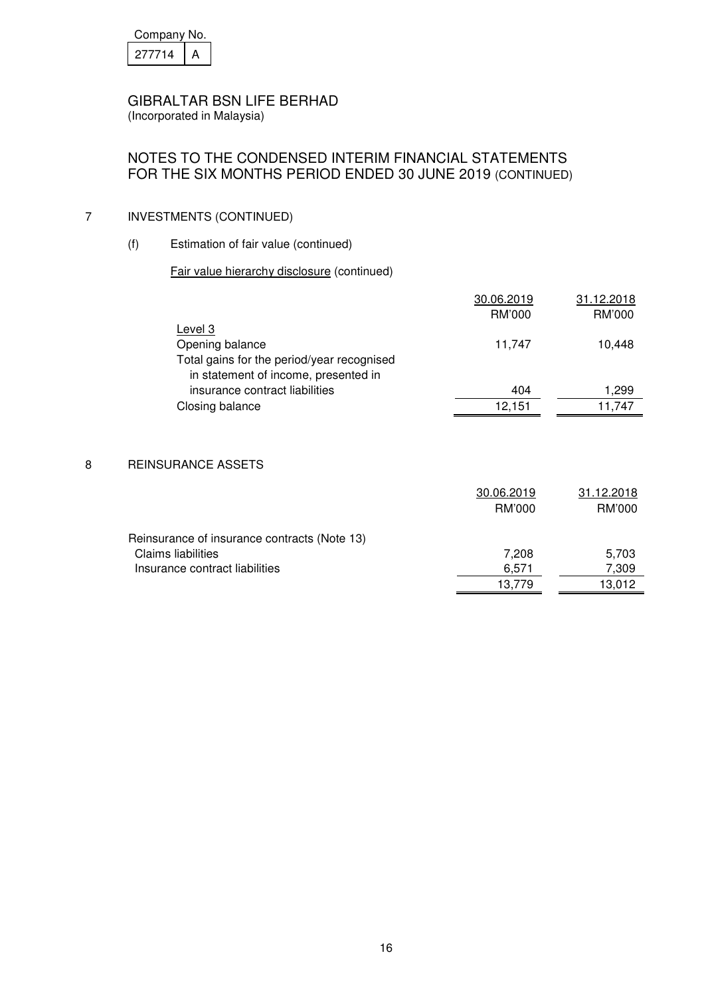| Company No. |  |  |
|-------------|--|--|
| 277714      |  |  |

(Incorporated in Malaysia)

# NOTES TO THE CONDENSED INTERIM FINANCIAL STATEMENTS FOR THE SIX MONTHS PERIOD ENDED 30 JUNE 2019 (CONTINUED)

# 7 INVESTMENTS (CONTINUED)

(f) Estimation of fair value (continued)

### Fair value hierarchy disclosure (continued)

| 30.06.2019    | 31.12.2018                  |
|---------------|-----------------------------|
| <b>RM'000</b> | <b>RM'000</b>               |
|               |                             |
| 11,747        | 10,448                      |
|               |                             |
|               |                             |
|               | 1,299                       |
|               | 11,747                      |
|               |                             |
|               |                             |
|               |                             |
|               |                             |
|               |                             |
|               | 31.12.2018                  |
| RM'000        | RM'000                      |
|               |                             |
|               |                             |
| 7,208         | 5,703                       |
| 6,571         | 7,309                       |
| 13,779        | 13,012                      |
|               | 404<br>12,151<br>30.06.2019 |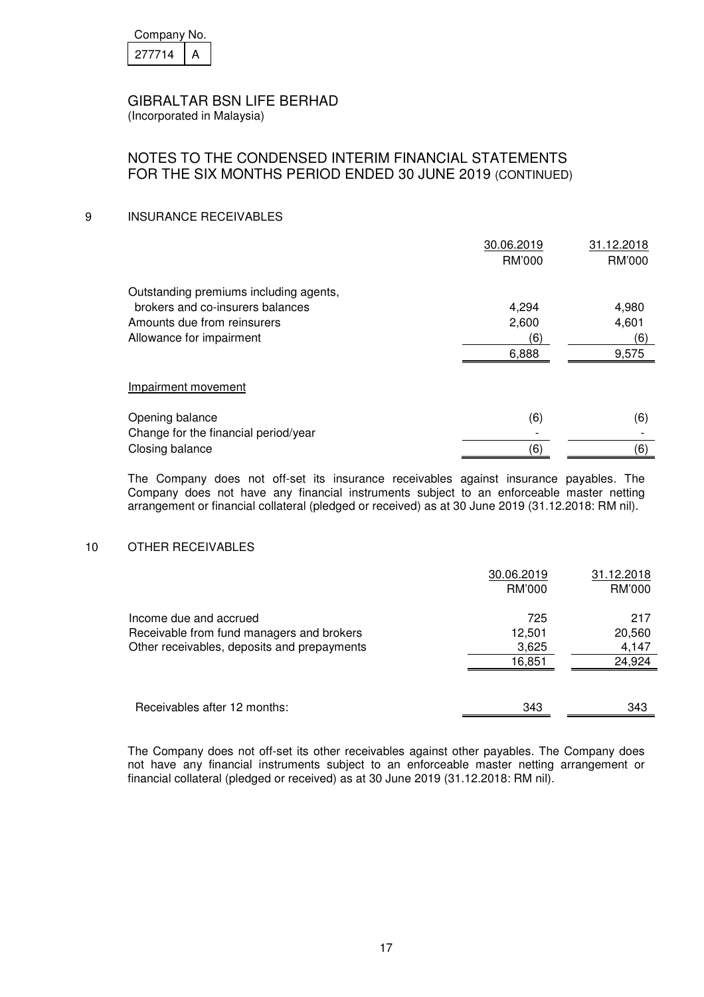| Company No. |  |  |
|-------------|--|--|
| 277714      |  |  |

(Incorporated in Malaysia)

# NOTES TO THE CONDENSED INTERIM FINANCIAL STATEMENTS FOR THE SIX MONTHS PERIOD ENDED 30 JUNE 2019 (CONTINUED)

### 9 INSURANCE RECEIVABLES

|                                        | 30.06.2019 | 31.12.2018 |
|----------------------------------------|------------|------------|
|                                        | RM'000     | RM'000     |
| Outstanding premiums including agents, |            |            |
| brokers and co-insurers balances       | 4,294      | 4,980      |
| Amounts due from reinsurers            | 2,600      | 4,601      |
| Allowance for impairment               | (6)        | (6)        |
|                                        | 6,888      | 9,575      |
|                                        |            |            |
| Impairment movement                    |            |            |
| Opening balance                        | (6)        | (6)        |
| Change for the financial period/year   |            |            |
| Closing balance                        | (6)        | (6)        |

The Company does not off-set its insurance receivables against insurance payables. The Company does not have any financial instruments subject to an enforceable master netting arrangement or financial collateral (pledged or received) as at 30 June 2019 (31.12.2018: RM nil).

### 10 OTHER RECEIVABLES

|                                                                     | 30.06.2019<br>RM'000 | 31.12.2018<br>RM'000 |
|---------------------------------------------------------------------|----------------------|----------------------|
|                                                                     | 725                  | 217                  |
| Income due and accrued<br>Receivable from fund managers and brokers | 12,501               | 20,560               |
| Other receivables, deposits and prepayments                         | 3,625<br>16,851      | 4,147<br>24,924      |
|                                                                     |                      |                      |
| Receivables after 12 months:                                        | 343                  | 343                  |

The Company does not off-set its other receivables against other payables. The Company does not have any financial instruments subject to an enforceable master netting arrangement or financial collateral (pledged or received) as at 30 June 2019 (31.12.2018: RM nil).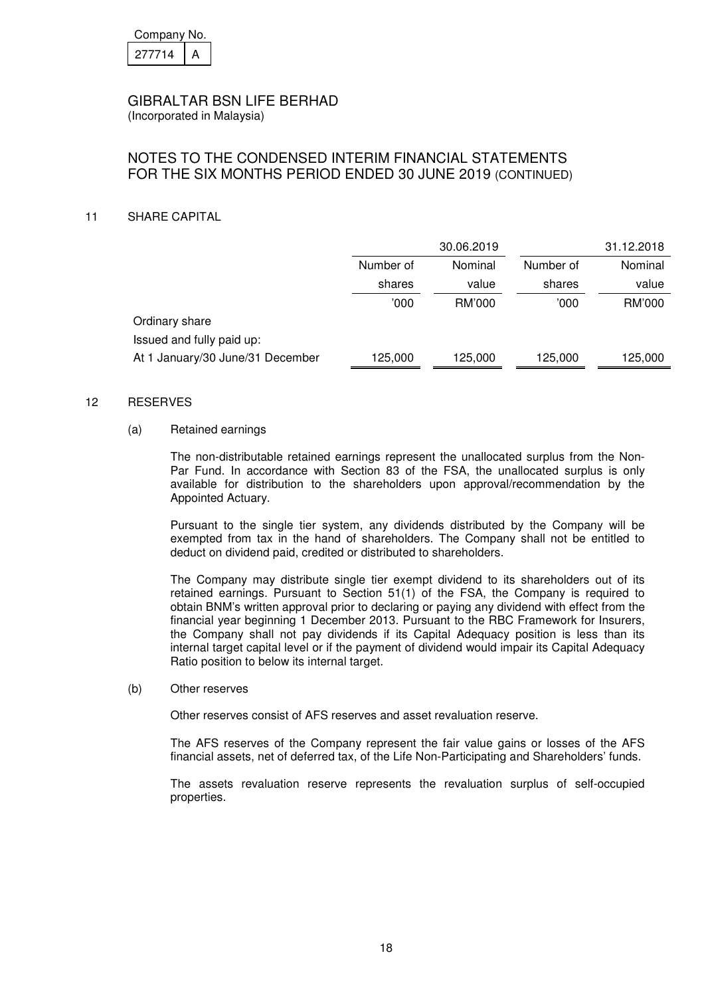| Company No. |  |  |  |
|-------------|--|--|--|
| 27714       |  |  |  |

(Incorporated in Malaysia)

# NOTES TO THE CONDENSED INTERIM FINANCIAL STATEMENTS FOR THE SIX MONTHS PERIOD ENDED 30 JUNE 2019 (CONTINUED)

### 11 SHARE CAPITAL

|                                  | 30.06.2019 |         |         | 31.12.2018 |
|----------------------------------|------------|---------|---------|------------|
|                                  | Number of  | Nominal |         | Nominal    |
|                                  | shares     | value   | shares  | value      |
|                                  | '000       | RM'000  | 000'    | RM'000     |
| Ordinary share                   |            |         |         |            |
| Issued and fully paid up:        |            |         |         |            |
| At 1 January/30 June/31 December | 125,000    | 125,000 | 125,000 | 125,000    |

#### 12 RESERVES

### (a) Retained earnings

The non-distributable retained earnings represent the unallocated surplus from the Non-Par Fund. In accordance with Section 83 of the FSA, the unallocated surplus is only available for distribution to the shareholders upon approval/recommendation by the Appointed Actuary.

Pursuant to the single tier system, any dividends distributed by the Company will be exempted from tax in the hand of shareholders. The Company shall not be entitled to deduct on dividend paid, credited or distributed to shareholders.

The Company may distribute single tier exempt dividend to its shareholders out of its retained earnings. Pursuant to Section 51(1) of the FSA, the Company is required to obtain BNM's written approval prior to declaring or paying any dividend with effect from the financial year beginning 1 December 2013. Pursuant to the RBC Framework for Insurers, the Company shall not pay dividends if its Capital Adequacy position is less than its internal target capital level or if the payment of dividend would impair its Capital Adequacy Ratio position to below its internal target.

(b) Other reserves

Other reserves consist of AFS reserves and asset revaluation reserve.

The AFS reserves of the Company represent the fair value gains or losses of the AFS financial assets, net of deferred tax, of the Life Non-Participating and Shareholders' funds.

The assets revaluation reserve represents the revaluation surplus of self-occupied properties.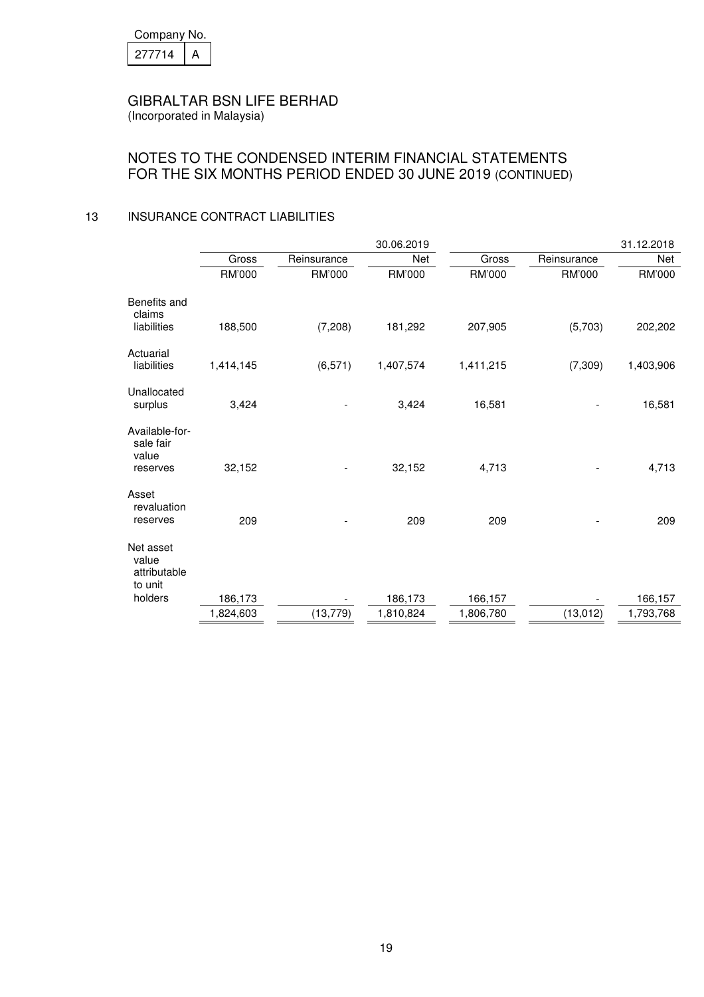| Company No. |  |  |  |
|-------------|--|--|--|
| 277714      |  |  |  |

(Incorporated in Malaysia)

# NOTES TO THE CONDENSED INTERIM FINANCIAL STATEMENTS FOR THE SIX MONTHS PERIOD ENDED 30 JUNE 2019 (CONTINUED)

### 13 INSURANCE CONTRACT LIABILITIES

|                                                  |           |             | 30.06.2019 |           |             | 31.12.2018 |
|--------------------------------------------------|-----------|-------------|------------|-----------|-------------|------------|
|                                                  | Gross     | Reinsurance | Net        | Gross     | Reinsurance | Net        |
|                                                  | RM'000    | RM'000      | RM'000     | RM'000    | RM'000      | RM'000     |
| Benefits and<br>claims<br>liabilities            | 188,500   | (7, 208)    | 181,292    | 207,905   | (5,703)     | 202,202    |
|                                                  |           |             |            |           |             |            |
| Actuarial<br>liabilities                         | 1,414,145 | (6, 571)    | 1,407,574  | 1,411,215 | (7, 309)    | 1,403,906  |
| Unallocated<br>surplus                           | 3,424     |             | 3,424      | 16,581    |             | 16,581     |
| Available-for-<br>sale fair<br>value<br>reserves | 32,152    |             | 32,152     | 4,713     |             | 4,713      |
| Asset<br>revaluation<br>reserves                 | 209       |             | 209        | 209       |             | 209        |
| Net asset<br>value<br>attributable               |           |             |            |           |             |            |
| to unit<br>holders                               |           |             |            |           |             |            |
|                                                  | 186,173   |             | 186,173    | 166,157   |             | 166,157    |
|                                                  | 1,824,603 | (13, 779)   | 1,810,824  | 1,806,780 | (13, 012)   | 1,793,768  |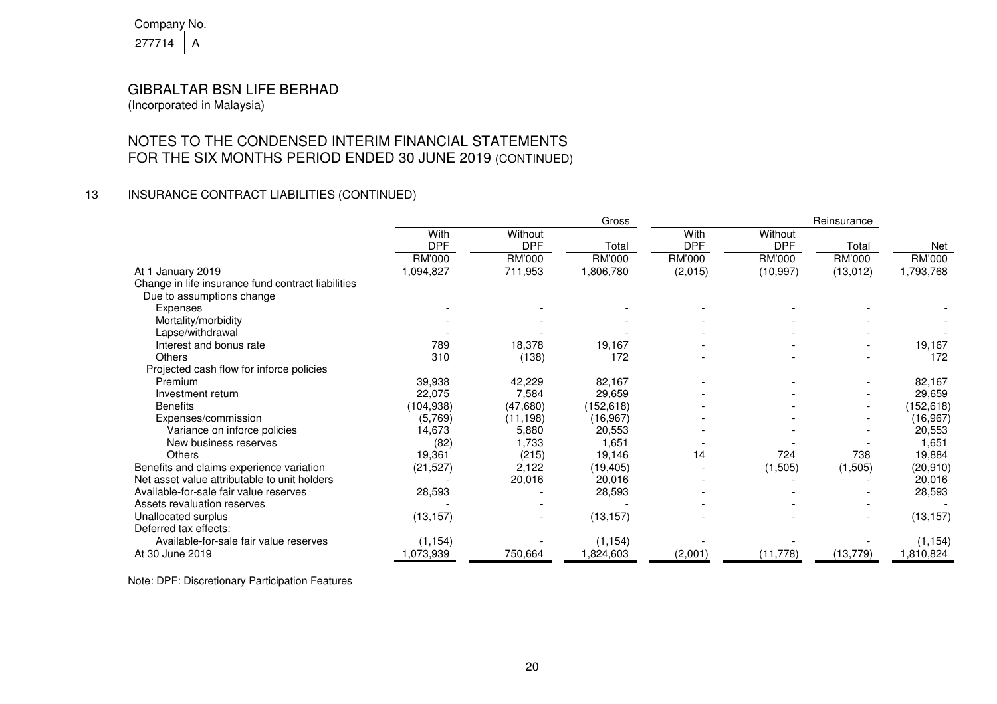| Company No. |  |  |
|-------------|--|--|
| 277714      |  |  |

# NOTES TO THE CONDENSED INTERIM FINANCIAL STATEMENTSFOR THE SIX MONTHS PERIOD ENDED 30 JUNE 2019 (CONTINUED)

### 13 INSURANCE CONTRACT LIABILITIES (CONTINUED)

|                                                    |               |            | Gross     | Reinsurance |            |           |            |
|----------------------------------------------------|---------------|------------|-----------|-------------|------------|-----------|------------|
|                                                    | With          | Without    |           | With        | Without    |           |            |
|                                                    | <b>DPF</b>    | <b>DPF</b> | Total     | <b>DPF</b>  | <b>DPF</b> | Total     | Net        |
|                                                    | <b>RM'000</b> | RM'000     | RM'000    | RM'000      | RM'000     | RM'000    | RM'000     |
| At 1 January 2019                                  | 1,094,827     | 711,953    | 1,806,780 | (2,015)     | (10, 997)  | (13, 012) | 1,793,768  |
| Change in life insurance fund contract liabilities |               |            |           |             |            |           |            |
| Due to assumptions change                          |               |            |           |             |            |           |            |
| Expenses                                           |               |            |           |             |            |           |            |
| Mortality/morbidity                                |               |            |           |             |            |           |            |
| Lapse/withdrawal                                   |               |            |           |             |            |           |            |
| Interest and bonus rate                            | 789           | 18,378     | 19,167    |             |            |           | 19,167     |
| <b>Others</b>                                      | 310           | (138)      | 172       |             |            |           | 172        |
| Projected cash flow for inforce policies           |               |            |           |             |            |           |            |
| Premium                                            | 39,938        | 42,229     | 82,167    |             |            |           | 82,167     |
| Investment return                                  | 22,075        | 7,584      | 29,659    |             |            |           | 29,659     |
| <b>Benefits</b>                                    | (104, 938)    | (47,680)   | (152,618) |             |            |           | (152, 618) |
| Expenses/commission                                | (5,769)       | (11, 198)  | (16, 967) |             |            |           | (16, 967)  |
| Variance on inforce policies                       | 14,673        | 5,880      | 20,553    |             |            |           | 20,553     |
| New business reserves                              | (82)          | 1,733      | 1,651     |             |            |           | 1,651      |
| <b>Others</b>                                      | 19,361        | (215)      | 19,146    | 14          | 724        | 738       | 19,884     |
| Benefits and claims experience variation           | (21, 527)     | 2,122      | (19, 405) |             | (1, 505)   | (1,505)   | (20, 910)  |
| Net asset value attributable to unit holders       |               | 20,016     | 20,016    |             |            |           | 20,016     |
| Available-for-sale fair value reserves             | 28,593        |            | 28,593    |             |            |           | 28,593     |
| Assets revaluation reserves                        |               |            |           |             |            |           |            |
| Unallocated surplus                                | (13, 157)     |            | (13, 157) |             |            |           | (13, 157)  |
| Deferred tax effects:                              |               |            |           |             |            |           |            |
| Available-for-sale fair value reserves             | (1, 154)      |            | (1, 154)  |             |            |           | (1, 154)   |
| At 30 June 2019                                    | ,073,939      | 750,664    | 1,824,603 | (2,001)     | (11, 778)  | (13, 779) | 1,810,824  |

Note: DPF: Discretionary Participation Features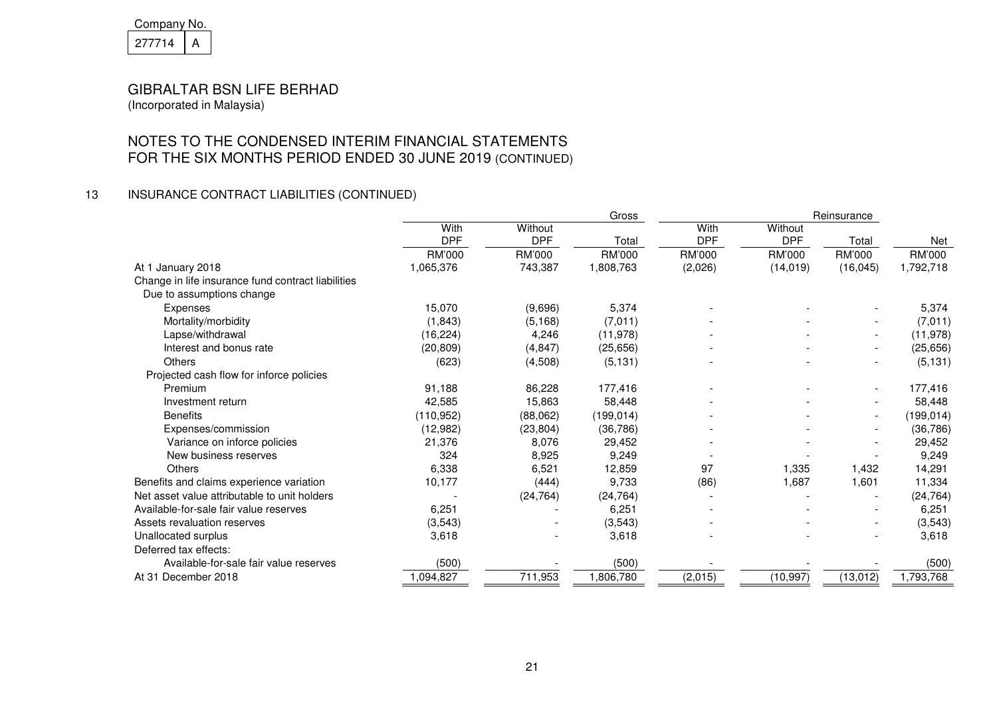| Company No. |  |  |
|-------------|--|--|
| 21/714      |  |  |

# NOTES TO THE CONDENSED INTERIM FINANCIAL STATEMENTSFOR THE SIX MONTHS PERIOD ENDED 30 JUNE 2019 (CONTINUED)

# 13 INSURANCE CONTRACT LIABILITIES (CONTINUED)

|                                                    | Gross              |                       |            | Reinsurance        |                       |                          |            |
|----------------------------------------------------|--------------------|-----------------------|------------|--------------------|-----------------------|--------------------------|------------|
|                                                    | With<br><b>DPF</b> | Without<br><b>DPF</b> | Total      | With<br><b>DPF</b> | Without<br><b>DPF</b> | Total                    | <b>Net</b> |
|                                                    | RM'000             | RM'000                | RM'000     | <b>RM'000</b>      | RM'000                | RM'000                   | RM'000     |
| At 1 January 2018                                  | 1,065,376          | 743,387               | 1,808,763  | (2,026)            | (14, 019)             | (16, 045)                | 1,792,718  |
| Change in life insurance fund contract liabilities |                    |                       |            |                    |                       |                          |            |
| Due to assumptions change                          |                    |                       |            |                    |                       |                          |            |
| Expenses                                           | 15,070             | (9,696)               | 5,374      |                    |                       |                          | 5,374      |
| Mortality/morbidity                                | (1, 843)           | (5, 168)              | (7,011)    |                    |                       |                          | (7,011)    |
| Lapse/withdrawal                                   | (16, 224)          | 4,246                 | (11, 978)  |                    |                       |                          | (11, 978)  |
| Interest and bonus rate                            | (20, 809)          | (4, 847)              | (25, 656)  |                    |                       | $\overline{\phantom{a}}$ | (25, 656)  |
| <b>Others</b>                                      | (623)              | (4,508)               | (5, 131)   |                    |                       |                          | (5, 131)   |
| Projected cash flow for inforce policies           |                    |                       |            |                    |                       |                          |            |
| Premium                                            | 91,188             | 86,228                | 177,416    |                    |                       |                          | 177,416    |
| Investment return                                  | 42,585             | 15,863                | 58,448     |                    |                       |                          | 58,448     |
| <b>Benefits</b>                                    | (110, 952)         | (88,062)              | (199, 014) |                    |                       | $\overline{\phantom{a}}$ | (199, 014) |
| Expenses/commission                                | (12, 982)          | (23, 804)             | (36, 786)  |                    |                       |                          | (36, 786)  |
| Variance on inforce policies                       | 21,376             | 8,076                 | 29,452     |                    |                       |                          | 29,452     |
| New business reserves                              | 324                | 8,925                 | 9,249      |                    |                       |                          | 9,249      |
| Others                                             | 6,338              | 6,521                 | 12,859     | 97                 | 1,335                 | 1,432                    | 14,291     |
| Benefits and claims experience variation           | 10,177             | (444)                 | 9,733      | (86)               | 1,687                 | 1,601                    | 11,334     |
| Net asset value attributable to unit holders       |                    | (24, 764)             | (24, 764)  |                    |                       |                          | (24, 764)  |
| Available-for-sale fair value reserves             | 6,251              |                       | 6,251      |                    |                       |                          | 6,251      |
| Assets revaluation reserves                        | (3,543)            |                       | (3, 543)   |                    |                       | $\overline{\phantom{a}}$ | (3, 543)   |
| Unallocated surplus                                | 3,618              |                       | 3,618      |                    |                       |                          | 3,618      |
| Deferred tax effects:                              |                    |                       |            |                    |                       |                          |            |
| Available-for-sale fair value reserves             | (500)              |                       | (500)      |                    |                       |                          | (500)      |
| At 31 December 2018                                | 1,094,827          | 711,953               | 1,806,780  | (2,015)            | (10, 997)             | (13, 012)                | 1,793,768  |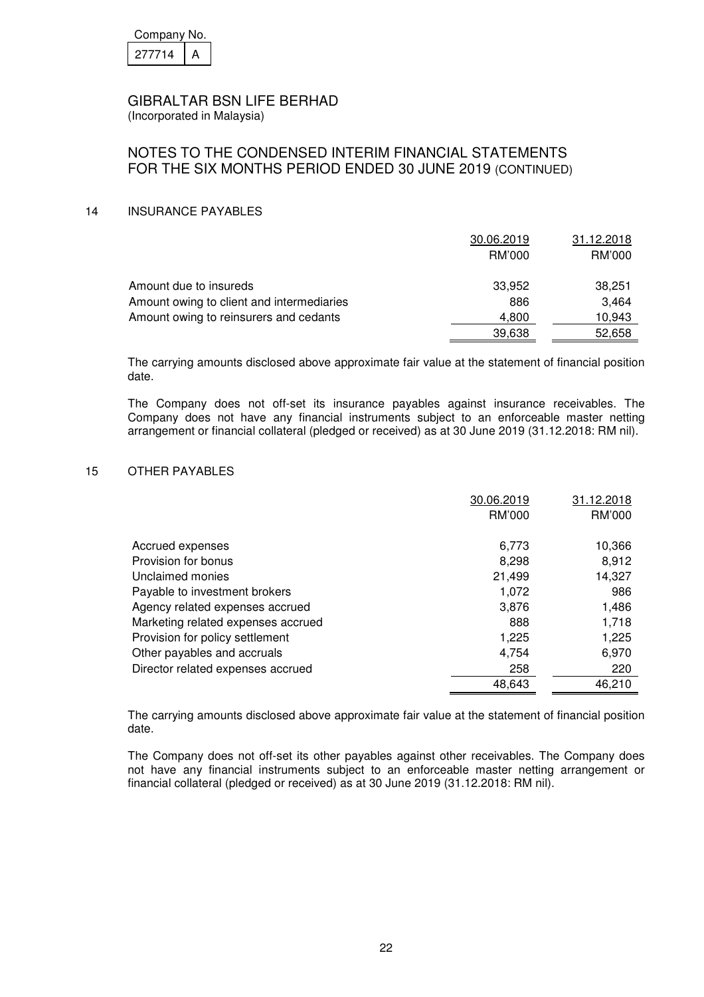| Company No. |  |  |  |
|-------------|--|--|--|
| 277714      |  |  |  |

(Incorporated in Malaysia)

# NOTES TO THE CONDENSED INTERIM FINANCIAL STATEMENTS FOR THE SIX MONTHS PERIOD ENDED 30 JUNE 2019 (CONTINUED)

### 14 INSURANCE PAYABLES

|                                           | 30.06.2019 | 31.12.2018 |
|-------------------------------------------|------------|------------|
|                                           | RM'000     | RM'000     |
| Amount due to insureds                    | 33,952     | 38,251     |
| Amount owing to client and intermediaries | 886        | 3,464      |
| Amount owing to reinsurers and cedants    | 4,800      | 10,943     |
|                                           | 39,638     | 52,658     |

 The carrying amounts disclosed above approximate fair value at the statement of financial position date.

The Company does not off-set its insurance payables against insurance receivables. The Company does not have any financial instruments subject to an enforceable master netting arrangement or financial collateral (pledged or received) as at 30 June 2019 (31.12.2018: RM nil).

### 15 OTHER PAYABLES

|                                    | 30.06.2019 | 31.12.2018 |
|------------------------------------|------------|------------|
|                                    | RM'000     | RM'000     |
|                                    |            |            |
| Accrued expenses                   | 6.773      | 10,366     |
| Provision for bonus                | 8,298      | 8,912      |
| Unclaimed monies                   | 21,499     | 14,327     |
| Payable to investment brokers      | 1,072      | 986        |
| Agency related expenses accrued    | 3,876      | 1,486      |
| Marketing related expenses accrued | 888        | 1,718      |
| Provision for policy settlement    | 1,225      | 1,225      |
| Other payables and accruals        | 4.754      | 6,970      |
| Director related expenses accrued  | 258        | 220        |
|                                    | 48,643     | 46.210     |

 The carrying amounts disclosed above approximate fair value at the statement of financial position date.

The Company does not off-set its other payables against other receivables. The Company does not have any financial instruments subject to an enforceable master netting arrangement or financial collateral (pledged or received) as at 30 June 2019 (31.12.2018: RM nil).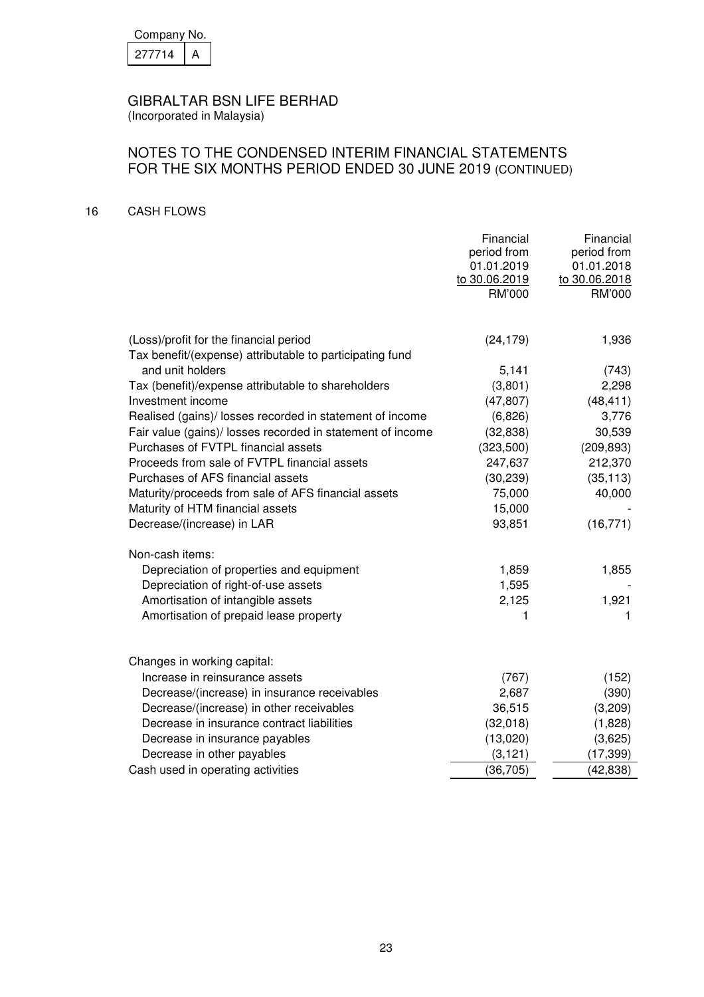| Company No. |  |  |  |  |
|-------------|--|--|--|--|
| 27714       |  |  |  |  |

# NOTES TO THE CONDENSED INTERIM FINANCIAL STATEMENTS FOR THE SIX MONTHS PERIOD ENDED 30 JUNE 2019 (CONTINUED)

### 16 CASH FLOWS

|                                                            | Financial<br>period from<br>01.01.2019<br>to 30.06.2019<br><b>RM'000</b> | Financial<br>period from<br>01.01.2018<br>to 30.06.2018<br>RM'000 |
|------------------------------------------------------------|--------------------------------------------------------------------------|-------------------------------------------------------------------|
| (Loss)/profit for the financial period                     | (24, 179)                                                                | 1,936                                                             |
| Tax benefit/(expense) attributable to participating fund   |                                                                          |                                                                   |
| and unit holders                                           | 5,141                                                                    | (743)                                                             |
| Tax (benefit)/expense attributable to shareholders         | (3,801)                                                                  | 2,298                                                             |
| Investment income                                          | (47, 807)                                                                | (48, 411)                                                         |
| Realised (gains)/ losses recorded in statement of income   | (6,826)                                                                  | 3,776                                                             |
| Fair value (gains)/ losses recorded in statement of income | (32, 838)                                                                | 30,539                                                            |
| Purchases of FVTPL financial assets                        | (323,500)                                                                | (209, 893)                                                        |
| Proceeds from sale of FVTPL financial assets               | 247,637                                                                  | 212,370                                                           |
| Purchases of AFS financial assets                          | (30, 239)                                                                | (35, 113)                                                         |
| Maturity/proceeds from sale of AFS financial assets        | 75,000                                                                   | 40,000                                                            |
| Maturity of HTM financial assets                           | 15,000                                                                   |                                                                   |
| Decrease/(increase) in LAR                                 | 93,851                                                                   | (16, 771)                                                         |
| Non-cash items:                                            |                                                                          |                                                                   |
| Depreciation of properties and equipment                   | 1,859                                                                    | 1,855                                                             |
| Depreciation of right-of-use assets                        | 1,595                                                                    |                                                                   |
| Amortisation of intangible assets                          | 2,125                                                                    | 1,921                                                             |
| Amortisation of prepaid lease property                     | 1                                                                        | 1.                                                                |
|                                                            |                                                                          |                                                                   |
| Changes in working capital:                                |                                                                          |                                                                   |
| Increase in reinsurance assets                             | (767)                                                                    | (152)                                                             |
| Decrease/(increase) in insurance receivables               | 2,687                                                                    | (390)                                                             |
| Decrease/(increase) in other receivables                   | 36,515                                                                   | (3,209)                                                           |
| Decrease in insurance contract liabilities                 | (32,018)                                                                 | (1,828)                                                           |
| Decrease in insurance payables                             | (13,020)                                                                 | (3,625)                                                           |
| Decrease in other payables                                 | (3, 121)                                                                 | (17, 399)                                                         |
| Cash used in operating activities                          | (36, 705)                                                                | (42, 838)                                                         |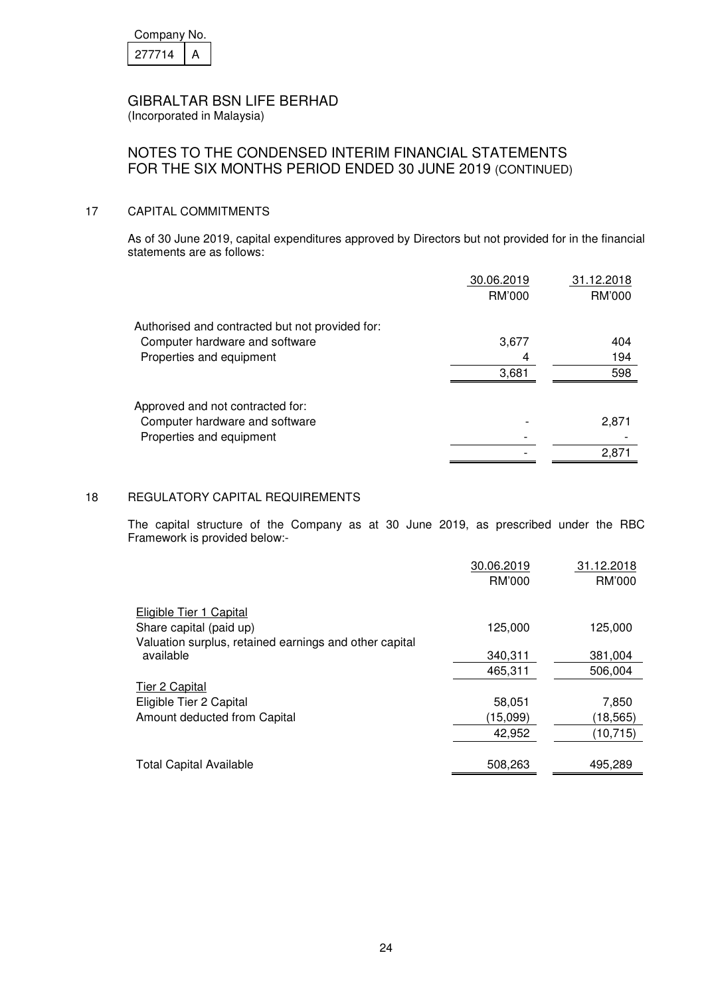| Company No. |  |
|-------------|--|
| 277714      |  |

## NOTES TO THE CONDENSED INTERIM FINANCIAL STATEMENTS FOR THE SIX MONTHS PERIOD ENDED 30 JUNE 2019 (CONTINUED)

### 17 CAPITAL COMMITMENTS

As of 30 June 2019, capital expenditures approved by Directors but not provided for in the financial statements are as follows:

|                                                 | 30.06.2019    | 31.12.2018 |
|-------------------------------------------------|---------------|------------|
|                                                 | <b>RM'000</b> | RM'000     |
| Authorised and contracted but not provided for: |               |            |
| Computer hardware and software                  | 3,677         | 404        |
| Properties and equipment                        | 4             | 194        |
|                                                 | 3,681         | 598        |
| Approved and not contracted for:                |               |            |
| Computer hardware and software                  |               | 2,871      |
| Properties and equipment                        |               |            |
|                                                 |               | 2,871      |

### 18 REGULATORY CAPITAL REQUIREMENTS

 The capital structure of the Company as at 30 June 2019, as prescribed under the RBC Framework is provided below:-

|                                                        | 30.06.2019 | 31.12.2018 |
|--------------------------------------------------------|------------|------------|
|                                                        | RM'000     | RM'000     |
| Eligible Tier 1 Capital                                |            |            |
| Share capital (paid up)                                | 125,000    | 125,000    |
| Valuation surplus, retained earnings and other capital |            |            |
| available                                              | 340,311    | 381,004    |
|                                                        | 465,311    | 506,004    |
| Tier 2 Capital                                         |            |            |
| Eligible Tier 2 Capital                                | 58,051     | 7,850      |
| Amount deducted from Capital                           | (15,099)   | (18,565)   |
|                                                        | 42,952     | (10, 715)  |
|                                                        |            |            |
| <b>Total Capital Available</b>                         | 508,263    | 495,289    |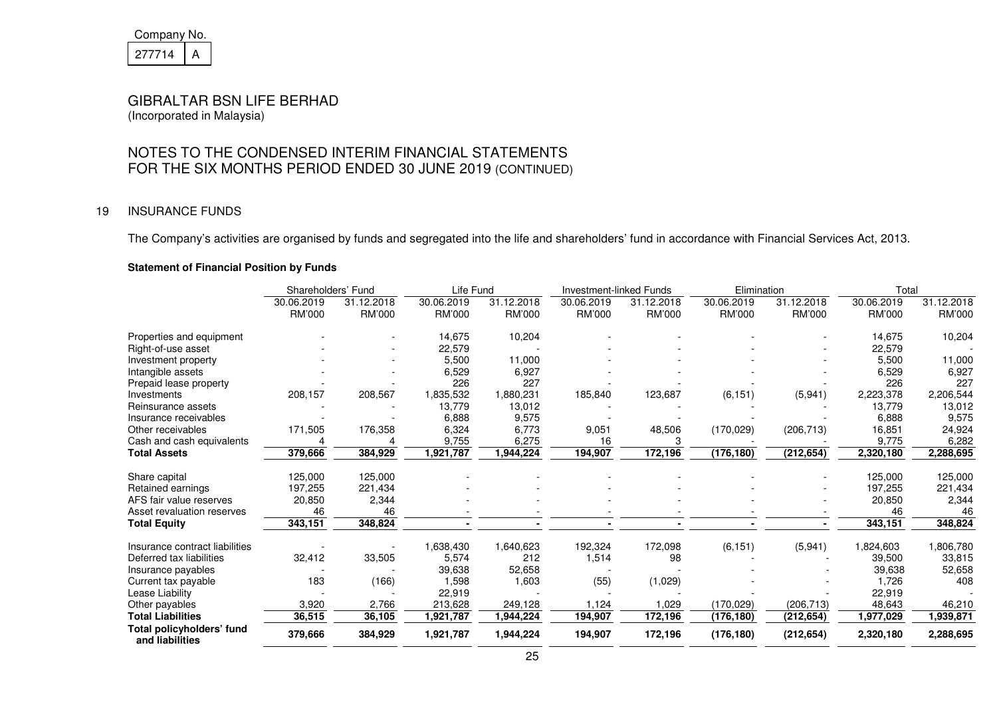| Company No. |  |
|-------------|--|
| 27714       |  |

# NOTES TO THE CONDENSED INTERIM FINANCIAL STATEMENTSFOR THE SIX MONTHS PERIOD ENDED 30 JUNE 2019 (CONTINUED)

### 19 INSURANCE FUNDS

The Company's activities are organised by funds and segregated into the life and shareholders' fund in accordance with Financial Services Act, 2013.

### **Statement of Financial Position by Funds**

|                                              | Shareholders' Fund          |                             | Life Fund                   |                      | <b>Investment-linked Funds</b> |                      | Elimination                 |                      | Total                |                      |
|----------------------------------------------|-----------------------------|-----------------------------|-----------------------------|----------------------|--------------------------------|----------------------|-----------------------------|----------------------|----------------------|----------------------|
|                                              | 30.06.2019<br><b>RM'000</b> | 31.12.2018<br><b>RM'000</b> | 30.06.2019<br><b>RM'000</b> | 31.12.2018<br>RM'000 | 30.06.2019<br>RM'000           | 31.12.2018<br>RM'000 | 30.06.2019<br><b>RM'000</b> | 31.12.2018<br>RM'000 | 30.06.2019<br>RM'000 | 31.12.2018<br>RM'000 |
| Properties and equipment                     |                             |                             | 14,675                      | 10,204               |                                |                      |                             |                      | 14,675               | 10,204               |
| Right-of-use asset                           |                             |                             | 22,579                      |                      |                                |                      |                             |                      | 22,579               |                      |
| Investment property                          |                             |                             | 5.500                       | 11,000               |                                |                      |                             |                      | 5,500                | 11,000               |
| Intangible assets                            |                             |                             | 6,529                       | 6,927                |                                |                      |                             |                      | 6,529                | 6,927                |
| Prepaid lease property                       |                             |                             | 226                         | 227                  |                                |                      |                             |                      | 226                  | 227                  |
| Investments                                  | 208,157                     | 208,567                     | 1,835,532                   | 1,880,231            | 185,840                        | 123,687              | (6, 151)                    | (5,941)              | 2,223,378            | 2,206,544            |
| Reinsurance assets                           |                             |                             | 13,779                      | 13,012               |                                |                      |                             |                      | 13,779               | 13,012               |
| Insurance receivables                        |                             |                             | 6,888                       | 9,575                |                                |                      |                             |                      | 6,888                | 9,575                |
| Other receivables                            | 171,505                     | 176,358                     | 6,324                       | 6,773                | 9,051                          | 48,506               | (170, 029)                  | (206, 713)           | 16,851               | 24,924               |
| Cash and cash equivalents                    |                             |                             | 9,755                       | 6,275                | 16                             |                      |                             |                      | 9,775                | 6,282                |
| <b>Total Assets</b>                          | 379,666                     | 384,929                     | 1,921,787                   | 1,944,224            | 194,907                        | 172,196              | (176, 180)                  | (212, 654)           | 2,320,180            | 2,288,695            |
| Share capital                                | 125,000                     | 125,000                     |                             |                      |                                |                      |                             |                      | 125,000              | 125,000              |
| Retained earnings                            | 197,255                     | 221,434                     |                             |                      |                                |                      |                             |                      | 197,255              | 221,434              |
| AFS fair value reserves                      | 20,850                      | 2,344                       |                             |                      |                                |                      |                             |                      | 20,850               | 2,344                |
| Asset revaluation reserves                   | 46                          | 46                          |                             |                      |                                |                      |                             |                      | 46                   | 46                   |
| <b>Total Equity</b>                          | 343,151                     | 348,824                     |                             |                      |                                |                      |                             |                      | 343,151              | 348,824              |
| Insurance contract liabilities               |                             |                             | 1,638,430                   | 1,640,623            | 192,324                        | 172,098              | (6, 151)                    | (5,941)              | 1,824,603            | 1,806,780            |
| Deferred tax liabilities                     | 32,412                      | 33,505                      | 5,574                       | 212                  | 1,514                          | 98                   |                             |                      | 39,500               | 33,815               |
| Insurance payables                           |                             |                             | 39,638                      | 52,658               |                                |                      |                             |                      | 39,638               | 52,658               |
| Current tax payable                          | 183                         | (166)                       | 1,598                       | 1,603                | (55)                           | (1,029)              |                             |                      | 1,726                | 408                  |
| Lease Liability                              |                             |                             | 22,919                      |                      |                                |                      |                             |                      | 22,919               |                      |
| Other payables                               | 3,920                       | 2,766                       | 213,628                     | 249,128              | 1,124                          | 1,029                | (170, 029)                  | (206, 713)           | 48,643               | 46,210               |
| <b>Total Liabilities</b>                     | 36,515                      | 36,105                      | 1,921,787                   | 1,944,224            | 194,907                        | 172,196              | (176, 180)                  | (212, 654)           | 1,977,029            | 1,939,871            |
| Total policyholders' fund<br>and liabilities | 379,666                     | 384,929                     | 1,921,787                   | 1,944,224            | 194,907                        | 172,196              | (176, 180)                  | (212, 654)           | 2,320,180            | 2,288,695            |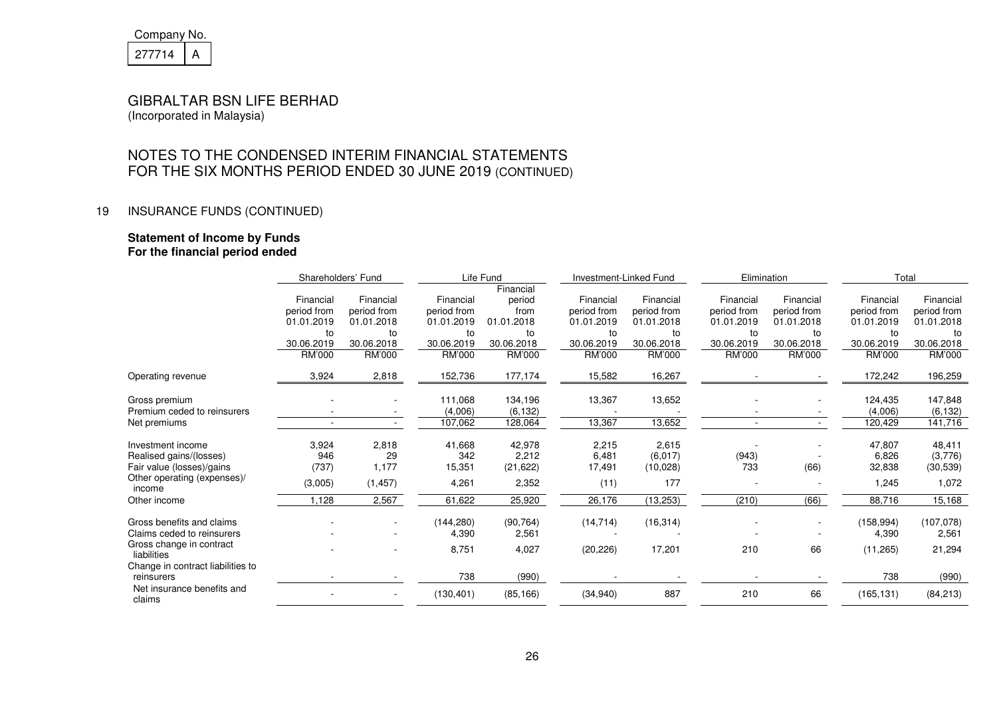| Company No. |  |
|-------------|--|
| 277714      |  |

# NOTES TO THE CONDENSED INTERIM FINANCIAL STATEMENTSFOR THE SIX MONTHS PERIOD ENDED 30 JUNE 2019 (CONTINUED)

### 19 INSURANCE FUNDS (CONTINUED)

#### **Statement of Income by Funds For the financial period ended**

|                                         | Shareholders' Fund |                          | Life Fund     |            | Investment-Linked Fund |             | Elimination |             |             | Total       |  |
|-----------------------------------------|--------------------|--------------------------|---------------|------------|------------------------|-------------|-------------|-------------|-------------|-------------|--|
|                                         |                    |                          |               | Financial  |                        |             |             |             |             |             |  |
|                                         | Financial          | Financial                | Financial     | period     | Financial              | Financial   | Financial   | Financial   | Financial   | Financial   |  |
|                                         | period from        | period from              | period from   | from       | period from            | period from | period from | period from | period from | period from |  |
|                                         | 01.01.2019         | 01.01.2018               | 01.01.2019    | 01.01.2018 | 01.01.2019             | 01.01.2018  | 01.01.2019  | 01.01.2018  | 01.01.2019  | 01.01.2018  |  |
|                                         | to                 | to                       | to            | to         | to                     | to          | to          | to          | to          | to          |  |
|                                         | 30.06.2019         | 30.06.2018               | 30.06.2019    | 30.06.2018 | 30.06.2019             | 30.06.2018  | 30.06.2019  | 30.06.2018  | 30.06.2019  | 30.06.2018  |  |
|                                         | RM'000             | RM'000                   | <b>RM'000</b> | RM'000     | RM'000                 | RM'000      | RM'000      | RM'000      | RM'000      | RM'000      |  |
| Operating revenue                       | 3,924              | 2,818                    | 152,736       | 177,174    | 15,582                 | 16,267      |             |             | 172,242     | 196,259     |  |
| Gross premium                           |                    |                          | 111,068       | 134,196    | 13,367                 | 13,652      |             |             | 124,435     | 147,848     |  |
| Premium ceded to reinsurers             |                    |                          | (4,006)       | (6, 132)   |                        |             |             |             | (4,006)     | (6, 132)    |  |
| Net premiums                            |                    |                          | 107,062       | 128,064    | 13,367                 | 13,652      |             |             | 120,429     | 141,716     |  |
| Investment income                       | 3,924              | 2,818                    | 41,668        | 42,978     | 2,215                  | 2,615       |             |             | 47,807      | 48,411      |  |
| Realised gains/(losses)                 | 946                | 29                       | 342           | 2,212      | 6,481                  | (6,017)     | (943)       |             | 6,826       | (3,776)     |  |
| Fair value (losses)/gains               | (737)              | 1,177                    | 15,351        | (21, 622)  | 17,491                 | (10,028)    | 733         | (66)        | 32,838      | (30, 539)   |  |
| Other operating (expenses)/<br>income   | (3,005)            | (1, 457)                 | 4,261         | 2,352      | (11)                   | 177         |             |             | 1,245       | 1,072       |  |
| Other income                            | ,128               | 2,567                    | 61,622        | 25,920     | 26,176                 | (13, 253)   | (210)       | (66)        | 88,716      | 15,168      |  |
| Gross benefits and claims               |                    |                          | (144, 280)    | (90, 764)  | (14, 714)              | (16, 314)   |             |             | (158, 994)  | (107, 078)  |  |
| Claims ceded to reinsurers              |                    |                          | 4,390         | 2,561      |                        |             |             |             | 4,390       | 2,561       |  |
| Gross change in contract<br>liabilities |                    |                          | 8,751         | 4,027      | (20, 226)              | 17,201      | 210         | 66          | (11, 265)   | 21,294      |  |
| Change in contract liabilities to       |                    |                          |               |            |                        |             |             |             |             |             |  |
| reinsurers                              |                    |                          | 738           | (990)      |                        |             |             |             | 738         | (990)       |  |
| Net insurance benefits and<br>claims    |                    | $\overline{\phantom{a}}$ | (130, 401)    | (85, 166)  | (34, 940)              | 887         | 210         | 66          | (165, 131)  | (84, 213)   |  |